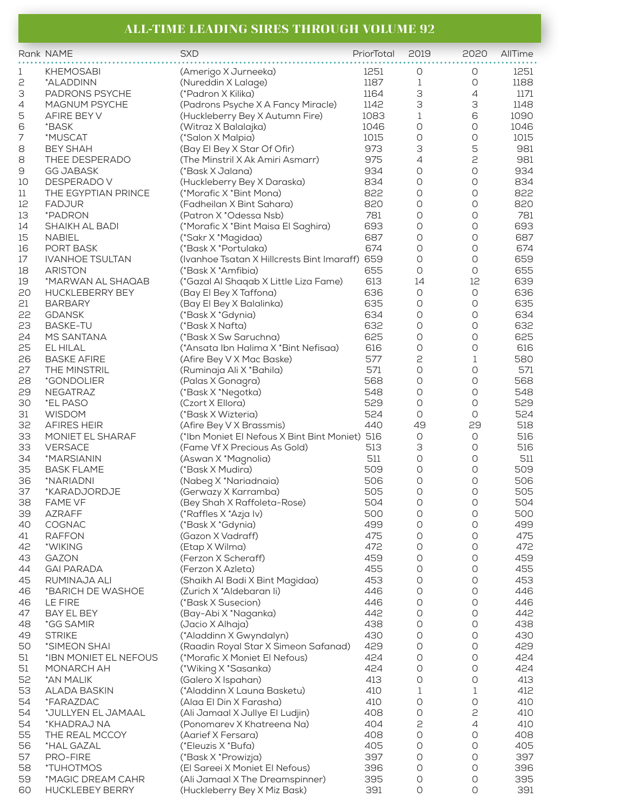## **ALL-TIME LEADING SIRES THROUGH VOLUME 92**

|    | Rank NAME              | <b>SXD</b>                                     | PriorTotal | 2019                | 2020                | AllTime |
|----|------------------------|------------------------------------------------|------------|---------------------|---------------------|---------|
| 1  | <b>KHEMOSABI</b>       | (Amerigo X Jurneeka)                           | 1251       | 0                   | 0                   | 1251    |
| 2  | *ALADDINN              | (Nureddin X Lalage)                            | 1187       | 1                   | O                   | 1188    |
| 3  | PADRONS PSYCHE         | (*Padron X Kilika)                             | 1164       | 3                   | 4                   | 1171    |
| 4  | <b>MAGNUM PSYCHE</b>   | (Padrons Psyche X A Fancy Miracle)             | 1142       | 3                   | 3                   | 1148    |
| 5  | AFIRE BEY V            | (Huckleberry Bey X Autumn Fire)                | 1083       | $\mathbf 1$         | 6                   | 1090    |
| 6  | *BASK                  | (Witraz X Balalajka)                           | 1046       | 0                   | $\circlearrowright$ | 1046    |
| 7  | *MUSCAT                | (*Salon X Malpia)                              | 1015       | $\circlearrowright$ | $\bigcirc$          | 1015    |
| 8  | <b>BEY SHAH</b>        | (Bay El Bey X Star Of Ofir)                    | 973        | 3                   | 5                   | 981     |
| 8  | THEE DESPERADO         | (The Minstril X Ak Amiri Asmarr)               | 975        | 4                   | 2                   | 981     |
| 9  | <b>GG JABASK</b>       | (*Bask X Jalana)                               | 934        | $\circ$             | O                   | 934     |
| 10 | DESPERADO V            | (Huckleberry Bey X Daraska)                    | 834        | 0                   | $\bigcirc$          | 834     |
| 11 | THE EGYPTIAN PRINCE    | (*Morafic X *Bint Mona)                        | 822        | $\circlearrowright$ | 0                   | 822     |
| 12 | <b>FADJUR</b>          | (Fadheilan X Bint Sahara)                      | 820        | 0                   | 0                   | 820     |
| 13 | *PADRON                | (Patron X *Odessa Nsb)                         | 781        | 0                   | 0                   | 781     |
| 14 | SHAIKH AL BADI         | (*Morafic X*Bint Maisa El Saghira)             | 693        | 0                   | 0                   | 693     |
| 15 | <b>NABIEL</b>          | (*Sakr X *Magidaa)                             | 687        | 0                   | 0                   | 687     |
| 16 | PORT BASK              | (*Bask X *Portulaka)                           | 674        | $\circlearrowright$ | 0                   | 674     |
| 17 | <b>IVANHOE TSULTAN</b> | (Ivanhoe Tsatan X Hillcrests Bint Imaraff) 659 |            | 0                   | 0                   | 659     |
| 18 | <b>ARISTON</b>         | (*Bask X *Amfibia)                             | 655        | $\circ$             | 0                   | 655     |
| 19 | *MARWAN AL SHAQAB      | (*Gazal Al Shaqab X Little Liza Fame)          | 613        | 14                  | 12                  | 639     |
| 20 | <b>HUCKLEBERRY BEY</b> | (Bay El Bey X Taffona)                         | 636        | $\circlearrowright$ | $\circlearrowright$ | 636     |
| 21 | <b>BARBARY</b>         | (Bay El Bey X Balalinka)                       | 635        | $\circlearrowright$ | $\circlearrowright$ | 635     |
| 22 | <b>GDANSK</b>          | (*Bask X *Gdynia)                              | 634        | 0                   | 0                   | 634     |
| 23 | <b>BASKE-TU</b>        | (*Bask X Nafta)                                | 632        | 0                   | 0                   | 632     |
| 24 | MS SANTANA             | (*Bask X Sw Saruchna)                          | 625        | 0                   | 0                   | 625     |
| 25 | EL HILAL               | (*Ansata Ibn Halima X *Bint Nefisaa)           | 616        | 0                   | O                   | 616     |
| 26 | <b>BASKE AFIRE</b>     | (Afire Bey V X Mac Baske)                      | 577        | 2                   | $\mathbf 1$         | 580     |
| 27 | THE MINSTRIL           | (Ruminaja Ali X * Bahila)                      | 571        | O                   | 0                   | 571     |
| 28 | *GONDOLIER             | (Palas X Gonagra)                              | 568        | 0                   | 0                   | 568     |
| 29 | <b>NEGATRAZ</b>        | (*Bask X *Negotka)                             | 548        | $\circlearrowright$ | 0                   | 548     |
| 30 | *EL PASO               | (Czort X Ellora)                               | 529        | $\circ$             | O                   | 529     |
| 31 | <b>WISDOM</b>          | (*Bask X Wizteria)                             | 524        | $\circ$             | O                   | 524     |
| 32 | <b>AFIRES HEIR</b>     | (Afire Bey V X Brassmis)                       | 440        | 49                  | 29                  | 518     |
| 33 | MONIET EL SHARAF       | (*Ibn Moniet El Nefous X Bint Bint Moniet) 516 |            | $\circlearrowright$ | 0                   | 516     |
| 33 | <b>VERSACE</b>         | (Fame Vf X Precious As Gold)                   | 513        | 3                   | $\circlearrowright$ | 516     |
| 34 | *MARSIANIN             | (Aswan X *Magnolia)                            | 511        | 0                   | 0                   | 511     |
| 35 | <b>BASK FLAME</b>      | (*Bask X Mudira)                               | 509        | O                   | 0                   | 509     |
| 36 | *NARIADNI              | (Nabeg X *Nariadnaia)                          | 506        | 0                   | 0                   | 506     |
| 37 | *KARADJORDJE           | (Gerwazy X Karramba)                           | 505        | $\circlearrowright$ | 0                   | 505     |
| 38 | FAME VF                | (Bey Shah X Raffoleta-Rose)                    | 504        | 0                   | 0                   | 504     |
| 39 | <b>AZRAFF</b>          | (*Raffles X *Azja Iv)                          | 500        | 0                   | 0                   | 500     |
| 40 | COGNAC                 | (*Bask X *Gdynia)                              | 499        | O                   | O                   | 499     |
| 41 | <b>RAFFON</b>          | (Gazon X Vadraff)                              | 475        | 0                   | 0                   | 475     |
| 42 | *WIKING                | (Etap X Wilma)                                 | 472        | 0                   | 0                   | 472     |
| 43 | <b>GAZON</b>           | (Ferzon X Scheraff)                            | 459        | $\circlearrowright$ | 0                   | 459     |
| 44 | <b>GAI PARADA</b>      | (Ferzon X Azleta)                              | 455        | O                   | O                   | 455     |
| 45 | RUMINAJA ALI           | (Shaikh Al Badi X Bint Magidaa)                | 453        | $\circlearrowright$ | $\circlearrowright$ | 453     |
| 46 | *BARICH DE WASHOE      | (Zurich X *Aldebaran li)                       | 446        | 0                   | 0                   | 446     |
| 46 | LE FIRE                | (*Bask X Susecion)                             | 446        | 0                   | 0                   | 446     |
| 47 | BAY EL BEY             | (Bay-Abi X *Naganka)                           | 442        | O                   | 0                   | 442     |
| 48 | *GG SAMIR              | (Jacio X Alhaja)                               | 438        | $\circ$             | 0                   | 438     |
| 49 | <b>STRIKE</b>          | (*Aladdinn X Gwyndalyn)                        | 430        | O                   | 0                   | 430     |
| 50 | *SIMEON SHAI           | (Raadin Royal Star X Simeon Safanad)           | 429        | 0                   | $\bigcirc$          | 429     |
| 51 | *IBN MONIET EL NEFOUS  | (*Morafic X Moniet El Nefous)                  | 424        | 0                   | 0                   | 424     |
| 51 | MONARCH AH             | (*Wiking X *Sasanka)                           | 424        | $\circlearrowright$ | 0                   | 424     |
| 52 | *AN MALIK              | (Galero X Ispahan)                             | 413        | $\circlearrowright$ | 0                   | 413     |
| 53 | <b>ALADA BASKIN</b>    | (*Aladdinn X Launa Basketu)                    | 410        | 1                   | 1                   | 412     |
| 54 | *FARAZDAC              | (Alaa El Din X Farasha)                        | 410        | 0                   | 0                   | 410     |
| 54 | *JULLYEN EL JAMAAL     | (Ali Jamaal X Jullye El Ludjin)                | 408        | 0                   | 2                   | 410     |
| 54 | *KHADRAJ NA            | (Ponomarev X Khatreena Na)                     | 404        | 2                   | 4                   | 410     |
| 55 | THE REAL MCCOY         | (Aarief X Fersara)                             | 408        | 0                   | 0                   | 408     |
| 56 | *HAL GAZAL             | (*Eleuzis X *Bufa)                             | 405        | O                   | 0                   | 405     |
| 57 | PRO-FIRE               | (*Bask X *Prowizja)                            | 397        | 0                   | 0                   | 397     |
| 58 | *TUHOTMOS              | (El Sareei X Moniet El Nefous)                 | 396        | $\circlearrowright$ | 0                   | 396     |
| 59 | *MAGIC DREAM CAHR      | (Ali Jamaal X The Dreamspinner)                | 395        | O                   | 0                   | 395     |
| 60 | <b>HUCKLEBEY BERRY</b> | (Huckleberry Bey X Miz Bask)                   | 391        | $\circlearrowright$ | O                   | 391     |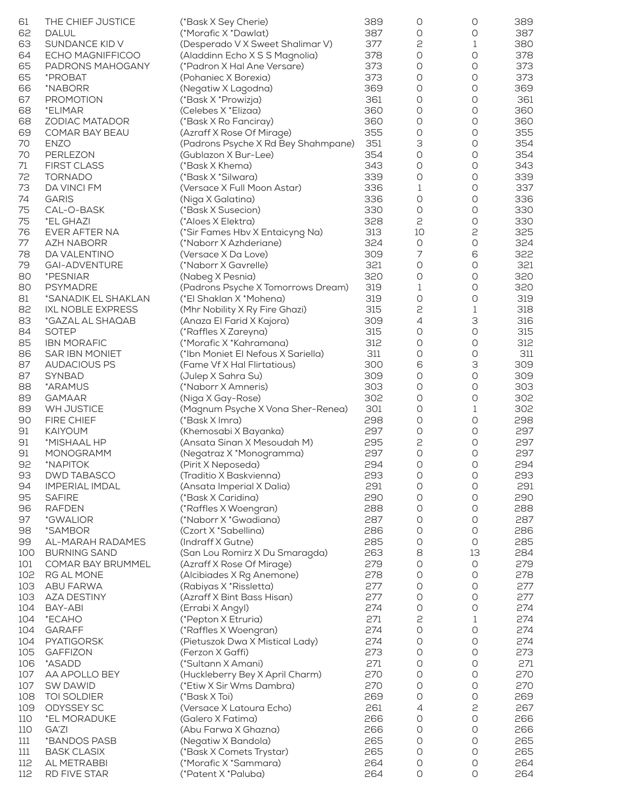| 61  | THE CHIEF JUSTICE        | (*Bask X Sey Cherie)                | 389 | O                   | 0                   | 389 |
|-----|--------------------------|-------------------------------------|-----|---------------------|---------------------|-----|
| 62  | <b>DALUL</b>             | (*Morafic X *Dawlat)                | 387 | O                   | 0                   | 387 |
| 63  | SUNDANCE KID V           | (Desperado V X Sweet Shalimar V)    | 377 | 2                   | 1                   | 380 |
| 64  | ECHO MAGNIFFICOO         | (Aladdinn Echo X S S Magnolia)      | 378 | 0                   | $\circlearrowright$ | 378 |
| 65  | PADRONS MAHOGANY         | (*Padron X Hal Ane Versare)         | 373 | O                   | $\circlearrowright$ | 373 |
| 65  | *PROBAT                  | (Pohaniec X Borexia)                | 373 | O                   | 0                   | 373 |
| 66  | *NABORR                  | (Negatiw X Lagodna)                 | 369 | 0                   | 0                   | 369 |
| 67  | <b>PROMOTION</b>         | (*Bask X *Prowizja)                 | 361 | O                   | O                   | 361 |
| 68  | *ELIMAR                  | (Celebes X *Elizaa)                 | 360 | O                   | 0                   | 360 |
| 68  | <b>ZODIAC MATADOR</b>    | (*Bask X Ro Fanciray)               | 360 | O                   | $\circlearrowright$ | 360 |
| 69  | COMAR BAY BEAU           | (Azraff X Rose Of Mirage)           | 355 | O                   | O                   | 355 |
| 70  | <b>ENZO</b>              | (Padrons Psyche X Rd Bey Shahmpane) | 351 | З                   | 0                   | 354 |
| 70  | PERLEZON                 | (Gublazon X Bur-Lee)                | 354 | 0                   | O                   | 354 |
| 71  | <b>FIRST CLASS</b>       | (*Bask X Khema)                     | 343 | 0                   | 0                   | 343 |
| 72  | <b>TORNADO</b>           | (*Bask X *Silwara)                  | 339 | 0                   | 0                   | 339 |
| 73  | DA VINCI FM              | (Versace X Full Moon Astar)         | 336 | 1                   | O                   | 337 |
| 74  | <b>GARIS</b>             | (Niga X Galatina)                   | 336 | 0                   | 0                   | 336 |
| 75  | CAL-O-BASK               | (*Bask X Susecion)                  | 330 | 0                   | O                   | 330 |
| 75  | *EL GHAZI                | (*Aloes X Elektra)                  | 328 | 2                   | 0                   | 330 |
| 76  | EVER AFTER NA            | (*Sir Fames Hbv X Entaicyng Na)     | 313 | 10                  | 2                   | 325 |
| 77  | <b>AZH NABORR</b>        | (*Naborr X Azhderiane)              | 324 | $\circlearrowright$ | $\bigcirc$          | 324 |
| 78  | DA VALENTINO             | (Versace X Da Love)                 | 309 | 7                   | 6                   | 322 |
| 79  | <b>GAI-ADVENTURE</b>     | (*Naborr X Gavrelle)                | 321 | 0                   | O                   | 321 |
| 80  | *PESNIAR                 | (Nabeg X Pesnia)                    | 320 | 0                   | 0                   | 320 |
| 80  | <b>PSYMADRE</b>          | (Padrons Psyche X Tomorrows Dream)  | 319 | 1                   | 0                   | 320 |
|     |                          |                                     |     | $\bigcirc$          |                     |     |
| 81  | *SANADIK EL SHAKLAN      | (*El Shaklan X *Mohena)             | 319 |                     | 0                   | 319 |
| 82  | <b>IXL NOBLE EXPRESS</b> | (Mhr Nobility X Ry Fire Ghazi)      | 315 | 2                   | $\mathbf 1$         | 318 |
| 83  | *GAZAL AL SHAQAB         | (Anaza El Farid X Kajora)           | 309 | 4                   | З                   | 316 |
| 84  | <b>SOTEP</b>             | (*Raffles X Zareyna)                | 315 | 0                   | 0                   | 315 |
| 85  | <b>IBN MORAFIC</b>       | (*Morafic X *Kahramana)             | 312 | O                   | $\circlearrowright$ | 312 |
| 86  | <b>SAR IBN MONIET</b>    | (*Ibn Moniet El Nefous X Sariella)  | 311 | O                   | 0                   | 311 |
| 87  | <b>AUDACIOUS PS</b>      | (Fame Vf X Hal Flirtatious)         | 300 | 6                   | З                   | 309 |
| 87  | SYNBAD                   | (Julep X Sahra Su)                  | 309 | 0                   | $\circlearrowright$ | 309 |
| 88  | *ARAMUS                  | (*Naborr X Amneris)                 | 303 | 0                   | 0                   | 303 |
| 89  | <b>GAMAAR</b>            | (Niga X Gay-Rose)                   | 302 | 0                   | $\circlearrowright$ | 302 |
| 89  | WH JUSTICE               | (Magnum Psyche X Vona Sher-Renea)   | 301 | 0                   | 1                   | 302 |
| 90  | FIRE CHIEF               | (*Bask X Imra)                      | 298 | 0                   | $\bigcirc$          | 298 |
| 91  | <b>KAIYOUM</b>           | (Khemosabi X Bayanka)               | 297 | 0                   | O                   | 297 |
| 91  | *MISHAAL HP              | (Ansata Sinan X Mesoudah M)         | 295 | 2                   | O                   | 297 |
| 91  | MONOGRAMM                | (Negatraz X *Monogramma)            | 297 | 0                   | O                   | 297 |
| 92  | *NAPITOK                 | (Pirit X Neposeda)                  | 294 | 0                   | 0                   | 294 |
| 93  | <b>DWD TABASCO</b>       | (Traditio X Baskvienna)             | 293 | $\circlearrowright$ | $\bigcirc$          | 293 |
| 94  | <b>IMPERIAL IMDAL</b>    | (Ansata Imperial X Dalia)           | 291 | 0                   | 0                   | 291 |
| 95  | <b>SAFIRE</b>            | (*Bask X Caridina)                  | 290 | O                   | O                   | 290 |
| 96  | <b>RAFDEN</b>            | (*Raffles X Woengran)               | 288 | O                   | O                   | 288 |
| 97  | *GWALIOR                 | (*Naborr X *Gwadiana)               | 287 | O                   | O                   | 287 |
| 98  | *SAMBOR                  | (Czort X *Sabellina)                | 286 | 0                   | $\bigcirc$          | 286 |
| 99  | AL-MARAH RADAMES         | (Indraff X Gutne)                   | 285 | 0                   | $\circlearrowright$ | 285 |
| 100 | <b>BURNING SAND</b>      | (San Lou Romirz X Du Smaragda)      | 263 | 8                   | 13                  | 284 |
| 101 | COMAR BAY BRUMMEL        | (Azraff X Rose Of Mirage)           | 279 | 0                   | $\bigcirc$          | 279 |
| 102 | RG AL MONE               | (Alcibiades X Rg Anemone)           | 278 | O                   | 0                   | 278 |
| 103 | <b>ABU FARWA</b>         | (Rabiyas X * Rissletta)             | 277 | 0                   | 0                   | 277 |
| 103 | <b>AZA DESTINY</b>       | (Azraff X Bint Bass Hisan)          | 277 | 0                   | 0                   | 277 |
| 104 | BAY-ABI                  | (Errabi X Angyl)                    | 274 | 0                   | 0                   | 274 |
| 104 | *ECAHO                   | (*Pepton X Etruria)                 | 271 | 2                   | 1                   | 274 |
| 104 | <b>GARAFF</b>            | (*Raffles X Woengran)               | 274 | $\bigcirc$          | $\bigcirc$          | 274 |
| 104 | <b>PYATIGORSK</b>        | (Pietuszok Dwa X Mistical Lady)     | 274 | 0                   | 0                   | 274 |
| 105 | <b>GAFFIZON</b>          | (Ferzon X Gaffi)                    | 273 | 0                   | 0                   | 273 |
| 106 | *ASADD                   | (*Sultann X Amani)                  | 271 | O                   | 0                   | 271 |
| 107 | AA APOLLO BEY            | (Huckleberry Bey X April Charm)     | 270 | 0                   | 0                   | 270 |
| 107 | <b>SW DAWID</b>          | (*Etiw X Sir Wms Dambra)            | 270 | O                   | 0                   | 270 |
| 108 | TOI SOLDIER              | (*Bask X Toi)                       | 269 | 0                   | 0                   | 269 |
| 109 | ODYSSEY SC               | (Versace X Latoura Echo)            | 261 | 4                   | 2                   | 267 |
| 110 | *EL MORADUKE             | (Galero X Fatima)                   | 266 | O                   | 0                   | 266 |
| 110 | GA'ZI                    | (Abu Farwa X Ghazna)                | 266 | O                   | 0                   | 266 |
| 111 | *BANDOS PASB             | (Negatiw X Bandola)                 | 265 | O                   | O                   | 265 |
| 111 | <b>BASK CLASIX</b>       | (*Bask X Comets Trystar)            | 265 | 0                   | $\bigcirc$          | 265 |
| 112 | AL METRABBI              | (*Morafic X *Sammara)               | 264 | 0                   | 0                   | 264 |
| 112 | RD FIVE STAR             | (*Patent X *Paluba)                 | 264 | $\circlearrowright$ | O                   | 264 |
|     |                          |                                     |     |                     |                     |     |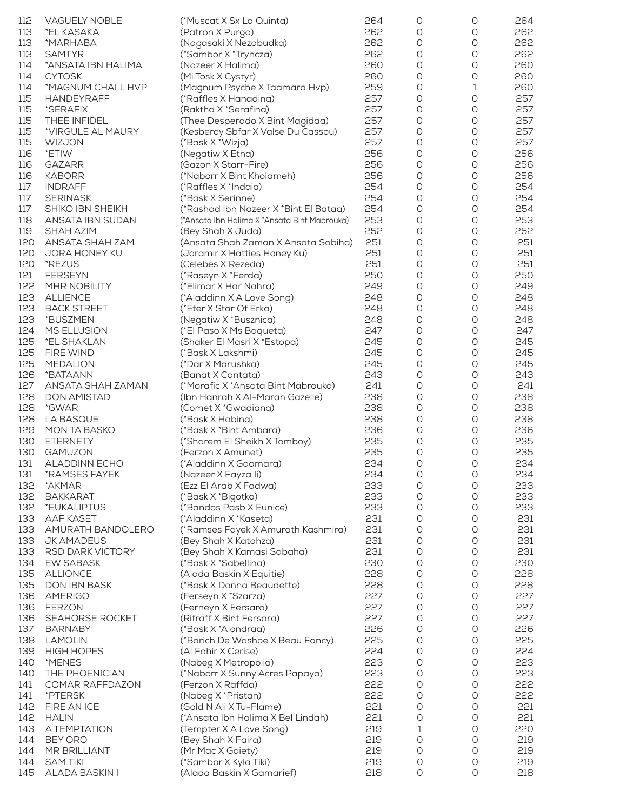| 112        | <b>VAGUELY NOBLE</b>                | (*Muscat X Sx La Quinta)                                | 264        | O          | O                   | 264        |
|------------|-------------------------------------|---------------------------------------------------------|------------|------------|---------------------|------------|
| 113        | *EL KASAKA                          | (Patron X Purga)                                        | 262        | 0          | 0                   | 262        |
| 113        | *MARHABA                            | (Nagasaki X Nezabudka)                                  | 262        | O          | O                   | 262        |
| 113        | <b>SAMTYR</b>                       | (*Sambor X *Tryncza)                                    | 262        | 0          | O                   | 262        |
| 114        | *ANSATA IBN HALIMA                  | (Nazeer X Halima)                                       | 260        | 0          | 0                   | 260        |
| 114        | <b>CYTOSK</b>                       | (Mi Tosk X Cystyr)                                      | 260        | O          | O                   | 260        |
| 114        | *MAGNUM CHALL HVP                   | (Magnum Psyche X Taamara Hvp)                           | 259        | O          | 1                   | 260        |
| 115        | <b>HANDEYRAFF</b>                   | (*Raffles X Hanadina)                                   | 257        | O          | 0                   | 257        |
| 115        | *SERAFIX                            | (Raktha X *Serafina)                                    | 257        | 0          | 0                   | 257        |
| 115        | THEE INFIDEL                        | (Thee Desperado X Bint Magidaa)                         | 257<br>257 | 0          | 0                   | 257<br>257 |
| 115<br>115 | *VIRGULE AL MAURY<br><b>WIZJON</b>  | (Kesberoy Sbfar X Valse Du Cassou)<br>(*Bask X *Wizja)  | 257        | O<br>O     | 0<br>0              | 257        |
| 116        | *ETIW                               | (Negatiw X Etna)                                        | 256        | 0          | O                   | 256        |
| 116        | <b>GAZARR</b>                       | (Gazon X Starr-Fire)                                    | 256        | O          | O                   | 256        |
| 116        | <b>KABORR</b>                       | (*Naborr X Bint Kholameh)                               | 256        | 0          | 0                   | 256        |
| 117        | <b>INDRAFF</b>                      | (*Raffles X *Indaia)                                    | 254        | O          | O                   | 254        |
| 117        | <b>SERINASK</b>                     | (*Bask X Serinne)                                       | 254        | O          | 0                   | 254        |
| 117        | SHIKO IBN SHEIKH                    | (*Rashad Ibn Nazeer X *Bint El Bataa)                   | 254        | 0          | O                   | 254        |
| 118        | ANSATA IBN SUDAN                    | (*Ansata Ibn Halima X *Ansata Bint Mabrouka)            | 253        | 0          | O                   | 253        |
| 119        | SHAH AZIM                           | (Bey Shah X Juda)                                       | 252        | O          | 0                   | 252        |
| 120        | ANSATA SHAH ZAM                     | (Ansata Shah Zaman X Ansata Sabiha)                     | 251        | O          | 0                   | 251        |
| 120        | JORA HONEY KU                       | (Joramir X Hatties Honey Ku)                            | 251        | O          | 0                   | 251        |
| 120        | *REZUS                              | (Celebes X Rezeda)                                      | 251        | O          | $\circlearrowright$ | 251        |
| 121        | <b>FERSEYN</b>                      | (*Raseyn X *Ferda)                                      | 250        | O          | O                   | 250        |
| 122        | MHR NOBILITY                        | (*Elimar X Har Nahra)                                   | 249        | 0          | 0                   | 249        |
| 123        | <b>ALLIENCE</b>                     | (*Aladdinn X A Love Song)                               | 248        | O          | O                   | 248        |
| 123        | <b>BACK STREET</b>                  | (*Eter X Star Of Erka)                                  | 248        | O          | 0                   | 248        |
| 123        | *BUSZMEN                            | (Negatiw X *Busznica)                                   | 248        | O          | O                   | 248        |
| 124        | MS ELLUSION                         | (*El Paso X Ms Baqueta)                                 | 247        | O          | 0                   | 247        |
| 125        | *EL SHAKLAN                         | (Shaker El Masri X *Estopa)                             | 245        | O          | 0                   | 245        |
| 125        | FIRE WIND                           | (*Bask X Lakshmi)                                       | 245        | O          | 0                   | 245        |
| 125        | <b>MEDALION</b>                     | (*Dar X Marushka)                                       | 245        | O          | 0                   | 245        |
| 126        | *BATAANN                            | (Banat X Cantata)                                       | 243        | 0          | $\circlearrowright$ | 243        |
| 127        | ANSATA SHAH ZAMAN                   | (*Morafic X *Ansata Bint Mabrouka)                      | 241        | O          | 0                   | 241        |
| 128<br>128 | <b>DON AMISTAD</b><br>*GWAR         | (Ibn Hanrah X Al-Marah Gazelle)<br>(Comet X *Gwadiana)  | 238<br>238 | 0<br>O     | 0<br>0              | 238<br>238 |
| 128        | <b>LA BASQUE</b>                    | (*Bask X Habina)                                        | 238        | 0          | 0                   | 238        |
| 129        | MON TA BASKO                        | (*Bask X *Bint Ambara)                                  | 236        | 0          | O                   | 236        |
| 130        | <b>ETERNETY</b>                     | (*Sharem El Sheikh X Tomboy)                            | 235        | O          | 0                   | 235        |
| 130        | GAMUZON                             | (Ferzon X Amunet)                                       | 235        | O          | 0                   | 235        |
| 131        | <b>ALADDINN ECHO</b>                | (*Aladdinn X Gaamara)                                   | 234        | 0          | O                   | 234        |
| 131        | *RAMSES FAYEK                       | (Nazeer X Fayza li)                                     | 234        | О          | $\bigcirc$          | 234        |
| 132        | *AKMAR                              | (Ezz El Arab X Fadwa)                                   | 233        | 0          | 0                   | 233        |
| 132        | <b>BAKKARAT</b>                     | (*Bask X *Bigotka)                                      | 233        | O          | O                   | 233        |
| 132        | *EUKALIPTUS                         | (*Bandos Pasb X Eunice)                                 | 233        | O          | 0                   | 233        |
| 133        | <b>AAF KASET</b>                    | (*Aladdinn X *Kaseta)                                   | 231        | O          | O                   | 231        |
| 133        | AMURATH BANDOLERO                   | (*Ramses Fayek X Amurath Kashmira)                      | 231        | O          | 0                   | 231        |
| 133        | JK AMADEUS                          | (Bey Shah X Katahza)                                    | 231        | 0          | $\circlearrowright$ | 231        |
| 133        | RSD DARK VICTORY                    | (Bey Shah X Kamasi Sabaha)                              | 231        | O          | 0                   | 231        |
| 134        | <b>EW SABASK</b>                    | (*Bask X *Sabellina)                                    | 230        | 0          | 0                   | 230        |
| 135        | <b>ALLIONCE</b>                     | (Alada Baskin X Equitie)                                | 228        | O          | O                   | 228        |
| 135        | DON IBN BASK                        | (*Bask X Donna Beaudette)                               | 228        | 0          | $\bigcirc$          | 228        |
| 136        | <b>AMERIGO</b>                      | (Ferseyn X *Szarza)                                     | 227        | 0          | O                   | 227        |
| 136        | <b>FERZON</b>                       | (Ferneyn X Fersara)                                     | 227        | O          | 0                   | 227        |
| 136        | SEAHORSE ROCKET                     | (Rifraff X Bint Fersara)                                | 227        | 0          | 0                   | 227        |
| 137        | <b>BARNABY</b>                      | (*Bask X *Alondraa)                                     | 226<br>225 | O<br>O     | O<br>$\bigcirc$     | 226<br>225 |
| 138<br>139 | <b>LAMOLIN</b><br><b>HIGH HOPES</b> | (*Barich De Washoe X Beau Fancy)<br>(Al Fahir X Cerise) | 224        | 0          | 0                   | 224        |
| 140        | *MENES                              | (Nabeg X Metropolia)                                    | 223        | 0          | 0                   | 223        |
| 140        | THE PHOENICIAN                      | (*Naborr X Sunny Acres Papaya)                          | 223        | 0          | 0                   | 223        |
| 141        | <b>COMAR RAFFDAZON</b>              | (Ferzon X Raffda)                                       | 222        | 0          | O                   | 222        |
| 141        | *PTERSK                             | (Nabeg X *Pristan)                                      | 222        | 0          | 0                   | 222        |
| 142        | FIRE AN ICE                         | (Gold N Ali X Tu-Flame)                                 | 221        | 0          | 0                   | 221        |
| 142        | <b>HALIN</b>                        | (*Ansata Ibn Halima X Bel Lindah)                       | 221        | 0          | 0                   | 221        |
| 143        | A TEMPTATION                        | (Tempter X A Love Song)                                 | 219        | 1          | 0                   | 220        |
| 144        | BEY ORO                             | (Bey Shah X Faira)                                      | 219        | 0          | 0                   | 219        |
| 144        | MR BRILLIANT                        | (Mr Mac X Gaiety)                                       | 219        | 0          | $\bigcirc$          | 219        |
| 144        | <b>SAM TIKI</b>                     | (*Sambor X Kyla Tiki)                                   | 219        | 0          | 0                   | 219        |
| 145        | <b>ALADA BASKIN I</b>               | (Alada Baskin X Gamarief)                               | 218        | $\bigcirc$ | $\bigcirc$          | 218        |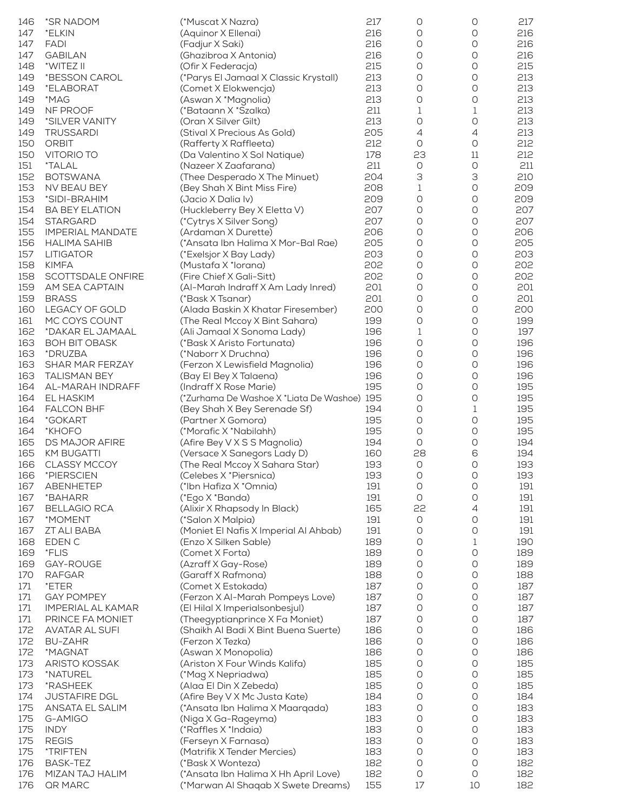| 146 | *SR NADOM                | (*Muscat X Nazra)                           | 217 | $\circ$ | 0                   | 217 |
|-----|--------------------------|---------------------------------------------|-----|---------|---------------------|-----|
| 147 | *ELKIN                   | (Aquinor X Ellenai)                         | 216 | 0       | 0                   | 216 |
| 147 | <b>FADI</b>              | (Fadjur X Saki)                             | 216 | 0       | O                   | 216 |
| 147 | <b>GABILAN</b>           | (Ghazibroa X Antonia)                       | 216 | 0       | $\circlearrowright$ | 216 |
| 148 | *WITEZ II                | (Ofir X Federacja)                          | 215 | 0       | $\bigcirc$          | 215 |
| 149 | *BESSON CAROL            | (*Parys El Jamaal X Classic Krystall)       | 213 | 0       | O                   | 213 |
| 149 | *ELABORAT                | (Comet X Elokwencja)                        | 213 | 0       | 0                   | 213 |
| 149 | *MAG                     | (Aswan X *Magnolia)                         | 213 | 0       | 0                   | 213 |
| 149 | NF PROOF                 | (*Bataann X *Szalka)                        | 211 | 1       | 1                   | 213 |
| 149 | *SILVER VANITY           | (Oran X Silver Gilt)                        | 213 | 0       | O                   | 213 |
| 149 | <b>TRUSSARDI</b>         | (Stival X Precious As Gold)                 | 205 | 4       | $\overline{4}$      | 213 |
| 150 | <b>ORBIT</b>             | (Rafferty X Raffleeta)                      | 212 | 0       | $\circlearrowright$ | 212 |
| 150 | VITORIO TO               | (Da Valentino X Sol Natique)                | 178 | 23      | $11\,$              | 212 |
|     | <i><b>*TALAL</b></i>     | (Nazeer X Zaafarana)                        | 211 |         | $\bigcirc$          |     |
| 151 |                          |                                             |     | $\circ$ |                     | 211 |
| 152 | <b>BOTSWANA</b>          | (Thee Desperado X The Minuet)               | 204 | З       | 3                   | 210 |
| 153 | NV BEAU BEY              | (Bey Shah X Bint Miss Fire)                 | 208 | 1       | $\bigcirc$          | 209 |
| 153 | *SIDI-BRAHIM             | (Jacio X Dalia Iv)                          | 209 | 0       | O                   | 209 |
| 154 | <b>BA BEY ELATION</b>    | (Huckleberry Bey X Eletta V)                | 207 | 0       | 0                   | 207 |
| 154 | <b>STARGARD</b>          | (*Cytrys X Silver Song)                     | 207 | 0       | 0                   | 207 |
| 155 | <b>IMPERIAL MANDATE</b>  | (Ardaman X Durette)                         | 206 | 0       | 0                   | 206 |
| 156 | <b>HALIMA SAHIB</b>      | (*Ansata Ibn Halima X Mor-Bal Rae)          | 205 | 0       | 0                   | 205 |
| 157 | <b>LITIGATOR</b>         | (*Exelsjor X Bay Lady)                      | 203 | 0       | O                   | 203 |
| 158 | <b>KIMFA</b>             | (Mustafa X *lorana)                         | 202 | 0       | O                   | 202 |
| 158 | SCOTTSDALE ONFIRE        | (Fire Chief X Gali-Sitt)                    | 202 | 0       | 0                   | 202 |
| 159 | AM SEA CAPTAIN           | (AI-Marah Indraff X Am Lady Inred)          | 201 | 0       | 0                   | 201 |
| 159 | <b>BRASS</b>             | (*Bask X Tsanar)                            | 201 | 0       | 0                   | 201 |
| 160 | LEGACY OF GOLD           | (Alada Baskin X Khatar Firesember)          | 200 | 0       | O                   | 200 |
| 161 | MC COYS COUNT            | (The Real Mccoy X Bint Sahara)              | 199 | 0       | O                   | 199 |
| 162 | *DAKAR EL JAMAAL         | (Ali Jamaal X Sonoma Lady)                  | 196 | 1       | 0                   | 197 |
| 163 | <b>BOH BIT OBASK</b>     | (*Bask X Aristo Fortunata)                  | 196 | 0       | O                   | 196 |
| 163 | *DRUZBA                  | (*Naborr X Druchna)                         | 196 | 0       | 0                   | 196 |
|     |                          |                                             |     |         |                     |     |
| 163 | SHAR MAR FERZAY          | (Ferzon X Lewisfield Magnolia)              | 196 | 0       | O                   | 196 |
| 163 | <b>TALISMAN BEY</b>      | (Bay El Bey X Talaena)                      | 196 | 0       | O                   | 196 |
| 164 | AL-MARAH INDRAFF         | (Indraff X Rose Marie)                      | 195 | 0       | $\circlearrowright$ | 195 |
| 164 | EL HASKIM                | (*Zurhama De Washoe X *Liata De Washoe) 195 |     | 0       | O                   | 195 |
| 164 | <b>FALCON BHF</b>        | (Bey Shah X Bey Serenade Sf)                | 194 | 0       | 1                   | 195 |
| 164 | *GOKART                  | (Partner X Gomora)                          | 195 | $\circ$ | $\bigcirc$          | 195 |
| 164 | *KHOFO                   | (*Morafic X *Nabilahh)                      | 195 | 0       | O                   | 195 |
| 165 | DS MAJOR AFIRE           | (Afire Bey V X S S Magnolia)                | 194 | 0       | O                   | 194 |
| 165 | <b>KM BUGATTI</b>        | (Versace X Sanegors Lady D)                 | 160 | 28      | 6                   | 194 |
| 166 | <b>CLASSY MCCOY</b>      | (The Real Mccoy X Sahara Star)              | 193 | O       | 0                   | 193 |
| 166 | *PIERSCIEN               | (Celebes X *Piersnica)                      | 193 | O       | O                   | 193 |
| 167 | ABENHETEP                | (*Ibn Hafiza X *Omnia)                      | 191 | $\circ$ | 0                   | 191 |
| 167 | *BAHARR                  | (*Ego X *Banda)                             | 191 | 0       | 0                   | 191 |
| 167 | <b>BELLAGIO RCA</b>      | (Alixir X Rhapsody In Black)                | 165 | 22      | $\overline{4}$      | 191 |
| 167 | *MOMENT                  | (*Salon X Malpia)                           | 191 | 0       | 0                   | 191 |
| 167 | ZT ALI BABA              | (Moniet El Nafis X Imperial Al Ahbab)       | 191 | O       | O                   | 191 |
| 168 | EDEN C                   | (Enzo X Silken Sable)                       | 189 | 0       | 1                   | 190 |
| 169 | *FLIS                    | (Comet X Forta)                             | 189 | 0       | 0                   | 189 |
| 169 | GAY-ROUGE                | (Azraff X Gay-Rose)                         | 189 | 0       | 0                   | 189 |
| 170 | <b>RAFGAR</b>            | (Garaff X Rafmona)                          | 188 | 0       | O                   | 188 |
| 171 | *ETER                    | (Comet X Estokada)                          | 187 | 0       | O                   | 187 |
| 171 | <b>GAY POMPEY</b>        | (Ferzon X Al-Marah Pompeys Love)            | 187 | 0       | O                   | 187 |
|     |                          |                                             |     | 0       | 0                   |     |
| 171 | <b>IMPERIAL AL KAMAR</b> | (El Hilal X Imperialsonbesjul)              | 187 |         |                     | 187 |
| 171 | PRINCE FA MONIET         | (Theegyptianprince X Fa Moniet)             | 187 | 0       | O                   | 187 |
| 172 | <b>AVATAR AL SUFI</b>    | (Shaikh Al Badi X Bint Buena Suerte)        | 186 | 0       | O                   | 186 |
| 172 | <b>BU-ZAHR</b>           | (Ferzon X Tezka)                            | 186 | 0       | 0                   | 186 |
| 172 | *MAGNAT                  | (Aswan X Monopolia)                         | 186 | 0       | O                   | 186 |
| 173 | ARISTO KOSSAK            | (Ariston X Four Winds Kalifa)               | 185 | 0       | O                   | 185 |
| 173 | *NATUREL                 | (*Mag X Nepriadwa)                          | 185 | 0       | O                   | 185 |
| 173 | *RASHEEK                 | (Alaa El Din X Zebeda)                      | 185 | 0       | O                   | 185 |
| 174 | <b>JUSTAFIRE DGL</b>     | (Afire Bey V X Mc Justa Kate)               | 184 | 0       | 0                   | 184 |
| 175 | ANSATA EL SALIM          | (*Ansata Ibn Halima X Maarqada)             | 183 | 0       | O                   | 183 |
| 175 | G-AMIGO                  | (Niga X Ga-Rageyma)                         | 183 | 0       | O                   | 183 |
| 175 | <b>INDY</b>              | (*Raffles X *Indaia)                        | 183 | O       | O                   | 183 |
| 175 | <b>REGIS</b>             | (Ferseyn X Farnasa)                         | 183 | 0       | O                   | 183 |
| 175 | *TRIFTEN                 | (Matrifik X Tender Mercies)                 | 183 | O       | O                   | 183 |
| 176 | BASK-TEZ                 | (*Bask X Wonteza)                           | 182 | O       | O                   | 182 |
| 176 | MIZAN TAJ HALIM          | (*Ansata Ibn Halima X Hh April Love)        | 182 | $\circ$ | 0                   | 182 |
| 176 | <b>QR MARC</b>           | (*Marwan Al Shaqab X Swete Dreams)          | 155 | 17      | 10                  | 182 |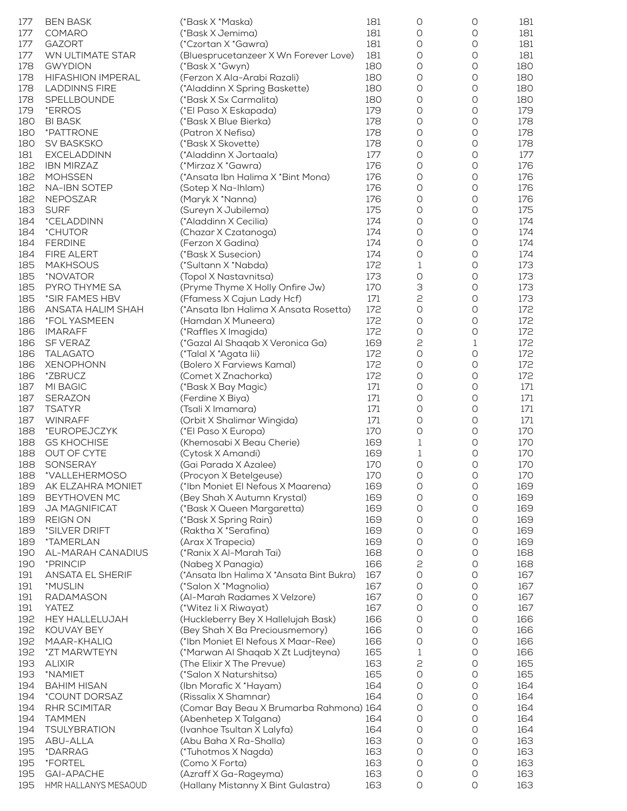| 177 | <b>BEN BASK</b>          | (*Bask X *Maska)                          | 181 | 0                   | 0                   | 181 |
|-----|--------------------------|-------------------------------------------|-----|---------------------|---------------------|-----|
| 177 | <b>COMARO</b>            | (*Bask X Jemima)                          | 181 | 0                   | 0                   | 181 |
| 177 | <b>GAZORT</b>            | (*Czortan X *Gawra)                       | 181 | O                   | O                   | 181 |
| 177 | WN ULTIMATE STAR         | (Bluesprucetanzeer X Wn Forever Love)     | 181 | 0                   | $\circlearrowright$ | 181 |
| 178 | <b>GWYDION</b>           | (*Bask X *Gwyn)                           | 180 | 0                   | $\circlearrowright$ | 180 |
| 178 | <b>HIFASHION IMPERAL</b> | (Ferzon X Ala-Arabi Razali)               | 180 | 0                   | O                   | 180 |
| 178 | <b>LADDINNS FIRE</b>     | (*Aladdinn X Spring Baskette)             | 180 | 0                   | 0                   | 180 |
| 178 | SPELLBOUNDE              | (*Bask X Sx Carmalita)                    | 180 | 0                   | O                   | 180 |
| 179 | *ERROS                   | (*El Paso X Eskapada)                     | 179 | 0                   | 0                   | 179 |
| 180 | <b>BI BASK</b>           | (*Bask X Blue Bierka)                     | 178 | 0                   | O                   | 178 |
| 180 | *PATTRONE                | (Patron X Nefisa)                         | 178 | 0                   | O                   | 178 |
| 180 | SV BASKSKO               | (*Bask X Skovette)                        | 178 | 0                   | 0                   | 178 |
| 181 | <b>EXCELADDINN</b>       | (*Aladdinn X Jortaala)                    | 177 | O                   | O                   | 177 |
| 182 | <b>IBN MIRZAZ</b>        | (*Mirzaz X *Gawra)                        | 176 | 0                   | $\circlearrowright$ | 176 |
| 182 | <b>MOHSSEN</b>           | (*Ansata Ibn Halima X *Bint Mona)         | 176 | 0                   | O                   | 176 |
| 182 | <b>NA-IBN SOTEP</b>      | (Sotep X Na-Ihlam)                        | 176 | 0                   | 0                   | 176 |
| 182 | <b>NEPOSZAR</b>          | (Maryk X *Nanna)                          | 176 | 0                   | 0                   | 176 |
| 183 | <b>SURF</b>              | (Sureyn X Jubilema)                       | 175 | O                   | O                   | 175 |
| 184 | *CELADDINN               | (*Aladdinn X Cecilia)                     | 174 | 0                   | 0                   | 174 |
| 184 | *CHUTOR                  | (Chazar X Czatanoga)                      | 174 | 0                   | O                   | 174 |
| 184 | <b>FERDINE</b>           | (Ferzon X Gadina)                         | 174 | 0                   | 0                   | 174 |
| 184 | FIRE ALERT               | (*Bask X Susecion)                        | 174 | 0                   | 0                   | 174 |
| 185 | <b>MAKHSOUS</b>          | (*Sultann X *Nabda)                       | 172 | 1                   | O                   | 173 |
| 185 | *NOVATOR                 | (Topol X Nastavnitsa)                     | 173 | 0                   | O                   | 173 |
| 185 | PYRO THYME SA            | (Pryme Thyme X Holly Onfire Jw)           | 170 | З                   | O                   | 173 |
| 185 | *SIR FAMES HBV           | (Ffamess X Cajun Lady Hcf)                | 171 | 2                   | 0                   | 173 |
| 186 | ANSATA HALIM SHAH        | (*Ansata Ibn Halima X Ansata Rosetta)     | 172 | 0                   | 0                   | 172 |
| 186 | *FOL YASMEEN             | (Hamdan X Muneera)                        | 172 | 0                   | 0                   | 172 |
| 186 | <b>IMARAFF</b>           | (*Raffles X Imagida)                      | 172 | 0                   | 0                   | 172 |
| 186 | SF VERAZ                 | (*Gazal Al Shaqab X Veronica Ga)          | 169 | 2                   | 1                   | 172 |
| 186 | <b>TALAGATO</b>          | (*Talal X *Agata lii)                     | 172 | O                   | 0                   | 172 |
| 186 | <b>XENOPHONN</b>         | (Bolero X Farviews Kamal)                 | 172 | 0                   | 0                   | 172 |
| 186 | *ZBRUCZ                  | (Comet X Znachorka)                       | 172 | O                   | 0                   | 172 |
| 187 | MI BAGIC                 | (*Bask X Bay Magic)                       | 171 | 0                   | 0                   | 171 |
| 187 | <b>SERAZON</b>           | (Ferdine X Biya)                          | 171 | 0                   | 0                   | 171 |
| 187 | <b>TSATYR</b>            | (Tsali X Imamara)                         | 171 | 0                   | 0                   | 171 |
| 187 | <b>WINRAFF</b>           | (Orbit X Shalimar Wingida)                | 171 | 0                   | $\bigcirc$          | 171 |
| 188 | *EUROPEJCZYK             | (*El Paso X Europa)                       | 170 | O                   | O                   | 170 |
| 188 | <b>GS KHOCHISE</b>       | (Khemosabi X Beau Cherie)                 | 169 | 1                   | 0                   | 170 |
| 188 | OUT OF CYTE              | (Cytosk X Amandi)                         | 169 | 1                   | O                   | 170 |
| 188 | SONSERAY                 | (Gai Parada X Azalee)                     | 170 | 0                   | 0                   | 170 |
| 188 | *VALLEHERMOSO            | (Procyon X Betelgeuse)                    | 170 | 0                   | $\bigcirc$          | 170 |
| 189 | AK ELZAHRA MONIET        | (*Ibn Moniet El Nefous X Maarena)         | 169 | 0                   | 0                   | 169 |
| 189 | <b>BEYTHOVEN MC</b>      | (Bey Shah X Autumn Krystal)               | 169 | O                   | 0                   | 169 |
| 189 | JA MAGNIFICAT            | (*Bask X Queen Margaretta)                | 169 | 0                   | 0                   | 169 |
| 189 | <b>REIGN ON</b>          | (*Bask X Spring Rain)                     | 169 | O                   | 0                   | 169 |
| 189 | *SILVER DRIFT            | (Raktha X *Serafina)                      | 169 | 0                   | 0                   | 169 |
| 189 | <i>*TAMERLAN</i>         | (Arax X Trapecia)                         | 169 | 0                   | O                   | 169 |
| 190 | AL-MARAH CANADIUS        | (*Ranix X Al-Marah Tai)                   | 168 | 0                   | 0                   | 168 |
| 190 | *PRINCIP                 | (Nabeg X Panagia)                         | 166 | 2                   | 0                   | 168 |
| 191 | <b>ANSATA EL SHERIF</b>  | (*Ansata Ibn Halima X *Ansata Bint Bukra) | 167 | $\circ$             | 0                   | 167 |
| 191 | *MUSLIN                  | (*Salon X *Magnolia)                      | 167 | O                   | 0                   | 167 |
| 191 | <b>RADAMASON</b>         | (Al-Marah Radames X Velzore)              | 167 | O                   | O                   | 167 |
| 191 | YATEZ                    | (*Witez li X Riwayat)                     | 167 | 0                   | 0                   | 167 |
| 192 | <b>HEY HALLELUJAH</b>    | (Huckleberry Bey X Hallelujah Bask)       | 166 | 0                   | O                   | 166 |
| 192 | KOUVAY BEY               | (Bey Shah X Ba Preciousmemory)            | 166 | O                   | O                   | 166 |
| 192 | MAAR-KHALIQ              | (*Ibn Moniet El Nefous X Maar-Ree)        | 166 | 0                   | 0                   | 166 |
| 192 | *ZT MARWTEYN             | (*Marwan Al Shaqab X Zt Ludjteyna)        | 165 | 1                   | 0                   | 166 |
| 193 | <b>ALIXIR</b>            | (The Elixir X The Prevue)                 | 163 | 2                   | O                   | 165 |
| 193 | *NAMIET                  | (*Salon X Naturshitsa)                    | 165 | 0                   | O                   | 165 |
| 194 | <b>BAHIM HISAN</b>       | (Ibn Morafic X *Hayam)                    | 164 | 0                   | 0                   | 164 |
| 194 | *COUNT DORSAZ            | (Rissalix X Shamnar)                      | 164 | 0                   | 0                   | 164 |
| 194 | RHR SCIMITAR             | (Comar Bay Beau X Brumarba Rahmona) 164   |     | 0                   | O                   | 164 |
| 194 | <b>TAMMEN</b>            | (Abenhetep X Talgana)                     | 164 | O                   | O                   | 164 |
| 194 | <b>TSULYBRATION</b>      | (Ivanhoe Tsultan X Lalyfa)                | 164 | 0                   | O                   | 164 |
| 195 | ABU-ALLA                 | (Abu Baha X Ra-Shalla)                    | 163 | 0                   | O                   | 163 |
| 195 | *DARRAG                  | (*Tuhotmos X Nagda)                       | 163 | 0                   | 0                   | 163 |
| 195 | *FORTEL                  | (Como X Forta)                            | 163 | 0                   | 0                   | 163 |
| 195 | <b>GAI-APACHE</b>        | (Azraff X Ga-Rageyma)                     | 163 | O                   | O                   | 163 |
| 195 | HMR HALLANYS MESAOUD     | (Hallany Mistanny X Bint Gulastra)        | 163 | $\circlearrowright$ | $\circlearrowright$ | 163 |
|     |                          |                                           |     |                     |                     |     |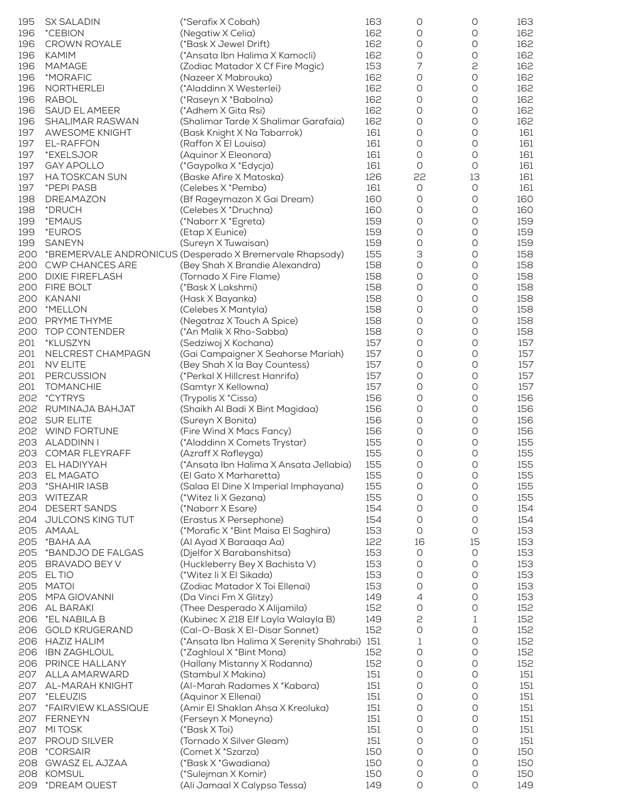| 195 | <b>SX SALADIN</b>      | (*Serafix X Cobah)                                       | 163 | 0          | 0          | 163 |
|-----|------------------------|----------------------------------------------------------|-----|------------|------------|-----|
| 196 | *CEBION                | (Negatiw X Celia)                                        | 162 | 0          | 0          | 162 |
|     |                        |                                                          | 162 |            | O          | 162 |
| 196 | <b>CROWN ROYALE</b>    | (*Bask X Jewel Drift)                                    |     | 0          |            |     |
| 196 | <b>KAMIM</b>           | (*Ansata Ibn Halima X Kamocli)                           | 162 | 0          | 0          | 162 |
| 196 | <b>MAMAGE</b>          | (Zodiac Matador X Cf Fire Magic)                         | 153 | 7          | 2          | 162 |
| 196 | *MORAFIC               | (Nazeer X Mabrouka)                                      | 162 | 0          | 0          | 162 |
| 196 | NORTHERLEI             | (*Aladdinn X Westerlei)                                  | 162 | 0          | O          | 162 |
| 196 | <b>RABOL</b>           | (*Raseyn X *Babolna)                                     | 162 | 0          | O          | 162 |
|     |                        |                                                          | 162 |            |            |     |
| 196 | SAUD EL AMEER          | (*Adhem X Gita Rsi)                                      |     | 0          | O          | 162 |
| 196 | SHALIMAR RASWAN        | (Shalimar Tarde X Shalimar Garafaia)                     | 162 | 0          | 0          | 162 |
| 197 | <b>AWESOME KNIGHT</b>  | (Bask Knight X Na Tabarrok)                              | 161 | 0          | O          | 161 |
| 197 | EL-RAFFON              | (Raffon X El Louisa)                                     | 161 | 0          | 0          | 161 |
| 197 | *EXELSJOR              | (Aquinor X Eleonora)                                     | 161 | 0          | O          | 161 |
| 197 | <b>GAY APOLLO</b>      | (*Gaypolka X *Edycja)                                    | 161 | O          | O          | 161 |
|     |                        |                                                          |     |            |            |     |
| 197 | <b>HA TOSKCAN SUN</b>  | (Baske Afire X Matoska)                                  | 126 | 22         | 13         | 161 |
| 197 | *PEPI PASB             | (Celebes X *Pemba)                                       | 161 | 0          | $\bigcirc$ | 161 |
| 198 | DREAMAZON              | (Bf Rageymazon X Gai Dream)                              | 160 | 0          | 0          | 160 |
| 198 | *DRUCH                 | (Celebes X *Druchna)                                     | 160 | O          | O          | 160 |
| 199 | *EMAUS                 | (*Naborr X *Egreta)                                      | 159 | 0          | O          | 159 |
| 199 | <i>*EUROS</i>          | (Etap X Eunice)                                          | 159 | O          | O          | 159 |
|     |                        |                                                          |     |            |            |     |
| 199 | <b>SANEYN</b>          | (Sureyn X Tuwaisan)                                      | 159 | 0          | O          | 159 |
| 200 |                        | *BREMERVALE ANDRONICUS (Desperado X Bremervale Rhapsody) | 155 | З          | 0          | 158 |
| 200 | <b>CWP CHANCES ARE</b> | (Bey Shah X Brandie Alexandra)                           | 158 | 0          | 0          | 158 |
| 200 | <b>DIXIE FIREFLASH</b> | (Tornado X Fire Flame)                                   | 158 | 0          | 0          | 158 |
| 200 | FIRE BOLT              | (*Bask X Lakshmi)                                        | 158 | 0          | O          | 158 |
| 200 | <b>KANANI</b>          | (Hask X Bayanka)                                         | 158 | O          | O          | 158 |
|     |                        |                                                          |     |            |            |     |
| 200 | *MELLON                | (Celebes X Mantyla)                                      | 158 | 0          | O          | 158 |
| 200 | PRYME THYME            | (Negatraz X Touch A Spice)                               | 158 | 0          | O          | 158 |
| 200 | TOP CONTENDER          | (*An Malik X Rho-Sabba)                                  | 158 | 0          | 0          | 158 |
| 201 | *KLUSZYN               | (Sedziwoj X Kochana)                                     | 157 | O          | O          | 157 |
| 201 | NELCREST CHAMPAGN      | (Gai Campaigner X Seahorse Mariah)                       | 157 | 0          | O          | 157 |
| 201 | NV ELITE               | (Bey Shah X la Bay Countess)                             | 157 | 0          | O          | 157 |
|     |                        |                                                          |     |            |            |     |
| 201 | PERCUSSION             | (*Perkal X Hillcrest Hanrifa)                            | 157 | 0          | O          | 157 |
| 201 | <b>TOMANCHIE</b>       | (Samtyr X Kellowna)                                      | 157 | 0          | 0          | 157 |
| 202 | <i>*</i> CYTRYS        | (Trypolis X *Cissa)                                      | 156 | 0          | O          | 156 |
| 202 | RUMINAJA BAHJAT        | (Shaikh Al Badi X Bint Magidaa)                          | 156 | 0          | O          | 156 |
| 202 | <b>SUR ELITE</b>       | (Sureyn X Bonita)                                        | 156 | 0          | O          | 156 |
| 202 | WIND FORTUNE           | (Fire Wind X Macs Fancy)                                 | 156 | O          | O          | 156 |
|     |                        |                                                          |     |            |            |     |
| 203 | ALADDINN I             | (*Aladdinn X Comets Trystar)                             | 155 | 0          | O          | 155 |
| 203 | <b>COMAR FLEYRAFF</b>  | (Azraff X Rafleyga)                                      | 155 | 0          | 0          | 155 |
|     | 203 EL HADIYYAH        | (*Ansata Ibn Halima X Ansata Jellabia)                   | 155 | 0          | O          | 155 |
|     | 203 EL MAGATO          | (El Gato X Marharetta)                                   | 155 | $\bigcirc$ | $\bigcirc$ | 155 |
| 203 | *SHAHIR IASB           | (Salaa El Dine X Imperial Imphayana)                     | 155 | O          | O          | 155 |
| 203 | <b>WITEZAR</b>         | (*Witez li X Gezana)                                     | 155 | O          | O          | 155 |
|     |                        |                                                          |     |            |            |     |
| 204 | <b>DESERT SANDS</b>    | (*Naborr X Esare)                                        | 154 | 0          | O          | 154 |
| 204 | JULCONS KING TUT       | (Erastus X Persephone)                                   | 154 | O          | O          | 154 |
| 205 | <b>AMAAL</b>           | (*Morafic X *Bint Maisa El Saghira)                      | 153 | O          | O          | 153 |
| 205 | *BAHA AA               | (Al Ayad X Baraaqa Aa)                                   | 122 | 16         | 15         | 153 |
| 205 | *BANDJO DE FALGAS      | (Djelfor X Barabanshitsa)                                | 153 | 0          | O          | 153 |
| 205 | BRAVADO BEY V          | (Huckleberry Bey X Bachista V)                           | 153 | O          | O          | 153 |
|     |                        |                                                          |     |            |            |     |
| 205 | <b>ELTIO</b>           | (*Witez li X El Sikada)                                  | 153 | 0          | O          | 153 |
| 205 | <b>MATOI</b>           | (Zodiac Matador X Toi Ellenai)                           | 153 | 0          | O          | 153 |
| 205 | <b>MPA GIOVANNI</b>    | (Da Vinci Fm X Glitzy)                                   | 149 | 4          | O          | 153 |
| 206 | AL BARAKI              | (Thee Desperado X Alijamila)                             | 152 | 0          | 0          | 152 |
| 206 | *EL NABILA B           | (Kubinec X 218 Elf Layla Walayla B)                      | 149 | 2          | 1          | 152 |
| 206 | <b>GOLD KRUGERAND</b>  | (Cal-O-Bask X El-Disar Sonnet)                           | 152 | $\bigcirc$ | $\bigcirc$ | 152 |
|     |                        |                                                          |     |            |            |     |
| 206 | <b>HAZIZ HALIM</b>     | (*Ansata Ibn Halima X Serenity Shahrabi) 151             |     | 1          | O          | 152 |
| 206 | <b>IBN ZAGHLOUL</b>    | (*Zaghloul X *Bint Mona)                                 | 152 | 0          | O          | 152 |
| 206 | PRINCE HALLANY         | (Hallany Mistanny X Rodanna)                             | 152 | 0          | 0          | 152 |
| 207 | ALLA AMARWARD          | (Stambul X Makina)                                       | 151 | 0          | O          | 151 |
| 207 | AL-MARAH KNIGHT        | (Al-Marah Radames X *Kabara)                             | 151 | 0          | $\circ$    | 151 |
| 207 | *ELEUZIS               | (Aquinor X Ellenai)                                      | 151 | 0          | O          | 151 |
|     |                        |                                                          |     |            |            |     |
| 207 | *FAIRVIEW KLASSIQUE    | (Amir El Shaklan Ahsa X Kreoluka)                        | 151 | O          | 0          | 151 |
| 207 | <b>FERNEYN</b>         | (Ferseyn X Moneyna)                                      | 151 | 0          | 0          | 151 |
| 207 | MI TOSK                | (*Bask X Toi)                                            | 151 | O          | O          | 151 |
| 207 | <b>PROUD SILVER</b>    | (Tornado X Silver Gleam)                                 | 151 | 0          | 0          | 151 |
| 208 | <i>*CORSAIR</i>        | (Comet X *Szarza)                                        | 150 | O          | O          | 150 |
| 208 | <b>GWASZ EL AJZAA</b>  | (*Bask X *Gwadiana)                                      | 150 | O          | O          | 150 |
|     |                        |                                                          |     |            |            |     |
| 208 | <b>KOMSUL</b>          | (*Sulejman X Komir)                                      | 150 | 0          | $\circ$    | 150 |
| 209 | *DREAM QUEST           | (Ali Jamaal X Calypso Tessa)                             | 149 | O          | 0          | 149 |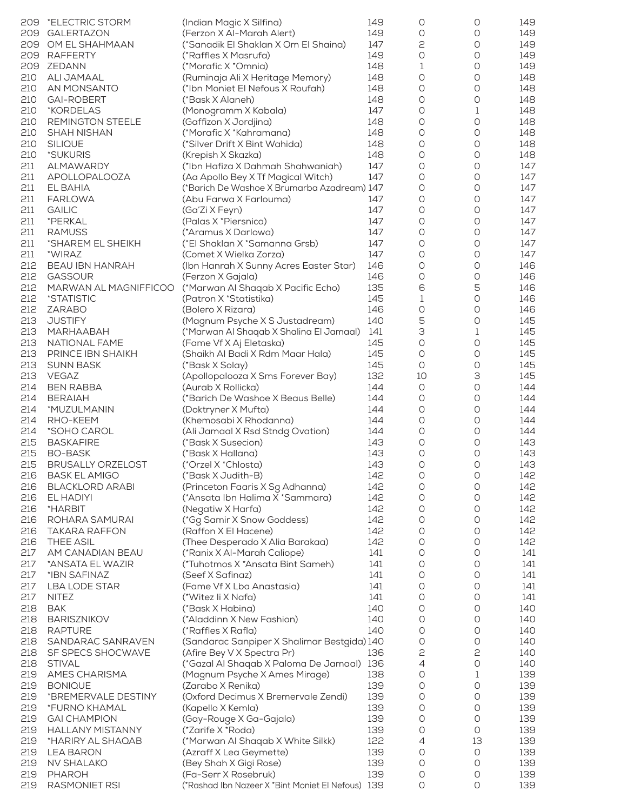| 209 | *ELECTRIC STORM          | (Indian Magic X Silfina)                          | 149 | 0          | 0       | 149 |
|-----|--------------------------|---------------------------------------------------|-----|------------|---------|-----|
| 209 | <b>GALERTAZON</b>        | (Ferzon X Al-Marah Alert)                         | 149 | 0          | O       | 149 |
| 209 | OM EL SHAHMAAN           | (*Sanadik El Shaklan X Om El Shaina)              | 147 | 2          | 0       | 149 |
|     |                          |                                                   |     |            |         |     |
| 209 | <b>RAFFERTY</b>          | (*Raffles X Masrufa)                              | 149 | 0          | 0       | 149 |
| 209 | ZEDANN                   | (*Morafic X *Omnia)                               | 148 | 1          | 0       | 149 |
|     |                          |                                                   |     |            |         |     |
| 210 | ALI JAMAAL               | (Ruminaja Ali X Heritage Memory)                  | 148 | 0          | 0       | 148 |
| 210 | AN MONSANTO              | (*Ibn Moniet El Nefous X Roufah)                  | 148 | 0          | 0       | 148 |
|     |                          |                                                   |     |            |         |     |
| 210 | <b>GAI-ROBERT</b>        | (*Bask X Alaneh)                                  | 148 | 0          | 0       | 148 |
| 210 | *KORDELAS                | (Monogramm X Kabala)                              | 147 | 0          | 1       | 148 |
|     |                          |                                                   | 148 | 0          | 0       |     |
| 210 | REMINGTON STEELE         | (Gaffizon X Jordjina)                             |     |            |         | 148 |
| 210 | <b>SHAH NISHAN</b>       | (*Morafic X *Kahramana)                           | 148 | 0          | 0       | 148 |
| 210 | <b>SILIQUE</b>           | (*Silver Drift X Bint Wahida)                     | 148 | 0          | 0       | 148 |
|     |                          |                                                   |     |            |         |     |
| 210 | *SUKURIS                 | (Krepish X Skazka)                                | 148 | 0          | 0       | 148 |
| 211 | <b>ALMAWARDY</b>         | (*Ibn Hafiza X Dahmah Shahwaniah)                 | 147 | 0          | 0       | 147 |
|     |                          |                                                   |     |            |         |     |
| 211 | <b>APOLLOPALOOZA</b>     | (Aa Apollo Bey X Tf Magical Witch)                | 147 | 0          | 0       | 147 |
| 211 | EL BAHIA                 | (*Barich De Washoe X Brumarba Azadream) 147       |     | 0          | 0       | 147 |
|     |                          |                                                   |     |            |         |     |
| 211 | <b>FARLOWA</b>           | (Abu Farwa X Farlouma)                            | 147 | 0          | 0       | 147 |
| 211 | <b>GAILIC</b>            | (Ga'Zi X Feyn)                                    | 147 | 0          | 0       | 147 |
|     | *PERKAL                  |                                                   | 147 | 0          | 0       |     |
| 211 |                          | (Palas X *Piersnica)                              |     |            |         | 147 |
| 211 | <b>RAMUSS</b>            | (*Aramus X Darlowa)                               | 147 | 0          | 0       | 147 |
| 211 | *SHAREM EL SHEIKH        | (*El Shaklan X *Samanna Grsb)                     | 147 | 0          | 0       | 147 |
|     |                          |                                                   |     |            |         |     |
| 211 | *WIRAZ                   | (Comet X Wielka Zorza)                            | 147 | 0          | 0       | 147 |
| 212 | <b>BEAU IBN HANRAH</b>   | (Ibn Hanrah X Sunny Acres Easter Star)            | 146 | 0          | 0       | 146 |
|     |                          |                                                   |     |            |         |     |
| 212 | <b>GASSOUR</b>           | (Ferzon X Gajala)                                 | 146 | 0          | 0       | 146 |
| 212 | MARWAN AL MAGNIFFICOO    | (*Marwan Al Shaqab X Pacific Echo)                | 135 | 6          | 5       | 146 |
|     |                          |                                                   |     |            |         |     |
| 212 | *STATISTIC               | (Patron X *Statistika)                            | 145 | 1          | 0       | 146 |
| 212 | <b>ZARABO</b>            | (Bolero X Rizara)                                 | 146 | 0          | 0       | 146 |
|     |                          |                                                   |     |            |         |     |
| 213 | <b>JUSTIFY</b>           | (Magnum Psyche X S Justadream)                    | 140 | 5          | 0       | 145 |
| 213 | MARHAABAH                | (*Marwan Al Shaqab X Shalina El Jamaal)           | 141 | З          | 1       | 145 |
| 213 | NATIONAL FAME            | (Fame Vf X Aj Eletaska)                           | 145 | 0          | 0       | 145 |
|     |                          |                                                   |     |            |         |     |
| 213 | PRINCE IBN SHAIKH        | (Shaikh Al Badi X Rdm Maar Hala)                  | 145 | 0          | 0       | 145 |
| 213 | <b>SUNN BASK</b>         | (*Bask X Solay)                                   | 145 | 0          | 0       | 145 |
|     |                          |                                                   |     |            |         |     |
| 213 | VEGAZ                    | (Apollopalooza X Sms Forever Bay)                 | 132 | 10         | 3       | 145 |
| 214 | <b>BEN RABBA</b>         | (Aurab X Rollicka)                                | 144 | O          | 0       | 144 |
|     |                          |                                                   |     |            |         |     |
| 214 | <b>BERAIAH</b>           | (*Barich De Washoe X Beaus Belle)                 | 144 | O          | 0       | 144 |
| 214 | *MUZULMANIN              | (Doktryner X Mufta)                               | 144 | 0          | 0       | 144 |
| 214 | RHO-KEEM                 |                                                   | 144 |            | 0       | 144 |
|     |                          | (Khemosabi X Rhodanna)                            |     | 0          |         |     |
| 214 | *SOHO CAROL              | (Ali Jamaal X Rsd Stndg Ovation)                  | 144 | 0          | 0       | 144 |
| 215 | <b>BASKAFIRE</b>         | (*Bask X Susecion)                                | 143 | O          | $\circ$ | 143 |
|     |                          |                                                   |     |            |         |     |
| 215 | <b>BO-BASK</b>           | (*Bask X Hallana)                                 | 143 | O          | 0       | 143 |
| 215 | <b>BRUSALLY ORZELOST</b> | (*Orzel X *Chlosta)                               | 143 | 0          | O       | 143 |
|     |                          |                                                   |     |            |         |     |
| 216 | <b>BASK EL AMIGO</b>     | (*Bask X Judith-B)                                | 142 | $\bigcirc$ | 0       | 142 |
| 216 | <b>BLACKLORD ARABI</b>   | (Princeton Faaris X Sg Adhanna)                   | 142 | 0          | 0       | 142 |
|     |                          |                                                   |     |            |         |     |
| 216 | EL HADIYI                | (*Ansata Ibn Halima X *Sammara)                   | 142 | 0          | $\circ$ | 142 |
| 216 | *HARBIT                  | (Negatiw X Harfa)                                 | 142 | 0          | $\circ$ | 142 |
| 216 | ROHARA SAMURAI           |                                                   | 142 | 0          | 0       |     |
|     |                          | (*Gg Samir X Snow Goddess)                        |     |            |         | 142 |
| 216 | <b>TAKARA RAFFON</b>     | (Raffon X El Hacene)                              | 142 | 0          | O       | 142 |
| 216 | <b>THEE ASIL</b>         | (Thee Desperado X Alia Barakaa)                   | 142 | 0          | 0       | 142 |
|     |                          |                                                   |     |            |         |     |
| 217 | AM CANADIAN BEAU         | (*Ranix X Al-Marah Caliope)                       | 141 | O          | 0       | 141 |
| 217 | *ANSATA EL WAZIR         | (*Tuhotmos X *Ansata Bint Sameh)                  | 141 | 0          | 0       | 141 |
|     |                          |                                                   | 141 |            |         |     |
| 217 | *IBN SAFINAZ             | (Seef X Safinaz)                                  |     | 0          | 0       | 141 |
| 217 | <b>LBA LODE STAR</b>     | (Fame Vf X Lba Anastasia)                         | 141 | 0          | O       | 141 |
| 217 | <b>NITEZ</b>             | (*Witez li X Nafa)                                | 141 | 0          | 0       | 141 |
|     |                          |                                                   |     |            |         |     |
| 218 | <b>BAK</b>               | (*Bask X Habina)                                  | 140 | 0          | 0       | 140 |
| 218 | <b>BARISZNIKOV</b>       | (*Aladdinn X New Fashion)                         | 140 | 0          | 0       | 140 |
|     |                          |                                                   |     |            |         |     |
| 218 | <b>RAPTURE</b>           | (*Raffles X Rafla)                                | 140 | 0          | 0       | 140 |
| 218 | SANDARAC SANRAVEN        | (Sandarac Sanpiper X Shalimar Bestgida) 140       |     | 0          | O       | 140 |
|     |                          |                                                   |     |            |         |     |
| 218 | SF SPECS SHOCWAVE        | (Afire Bey V X Spectra Pr)                        | 136 | 2          | 2       | 140 |
| 218 | <b>STIVAL</b>            | (*Gazal Al Shaqab X Paloma De Jamaal) 136         |     | 4          | 0       | 140 |
|     |                          |                                                   |     | 0          | 1       |     |
| 219 | AMES CHARISMA            | (Magnum Psyche X Ames Mirage)                     | 138 |            |         | 139 |
| 219 | <b>BONIQUE</b>           | (Zarabo X Renika)                                 | 139 | 0          | 0       | 139 |
| 219 | *BREMERVALE DESTINY      | (Oxford Decimus X Bremervale Zendi)               | 139 | O          | 0       | 139 |
|     |                          |                                                   |     |            |         |     |
| 219 | *FURNO KHAMAL            | (Kapello X Kemla)                                 | 139 | 0          | 0       | 139 |
| 219 | <b>GAI CHAMPION</b>      | (Gay-Rouge X Ga-Gajala)                           | 139 | O          | 0       | 139 |
|     |                          |                                                   |     |            |         |     |
| 219 | <b>HALLANY MISTANNY</b>  | (*Zarife X *Roda)                                 | 139 | O          | O       | 139 |
| 219 | *HARIRY AL SHAQAB        | (*Marwan Al Shaqab X White Silkk)                 | 122 | 4          | 13      | 139 |
|     |                          |                                                   |     |            |         |     |
| 219 | <b>LEA BARON</b>         | (Azraff X Lea Geymette)                           | 139 | $\circ$    | O       | 139 |
| 219 | <b>NV SHALAKO</b>        | (Bey Shah X Gigi Rose)                            | 139 | $\circ$    | 0       | 139 |
|     |                          |                                                   | 139 |            |         |     |
| 219 | <b>PHAROH</b>            | (Fa-Serr X Rosebruk)                              |     | $\circ$    | 0       | 139 |
| 219 | RASMONIET RSI            | (*Rashad Ibn Nazeer X *Bint Moniet El Nefous) 139 |     | 0          | 0       | 139 |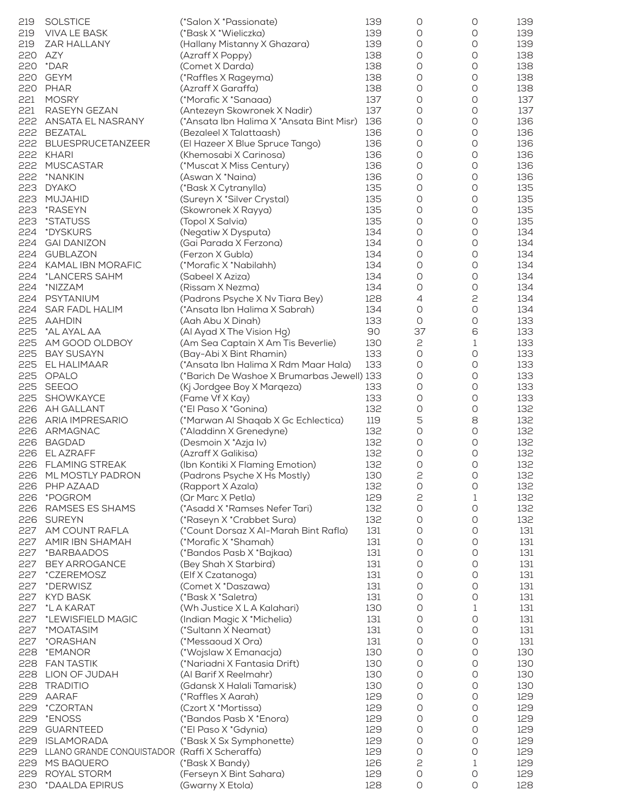| 219 | <b>SOLSTICE</b>                               | (*Salon X*Passionate)                      | 139 | 0          | 0           | 139 |
|-----|-----------------------------------------------|--------------------------------------------|-----|------------|-------------|-----|
| 219 | VIVA LE BASK                                  | (*Bask X *Wieliczka)                       | 139 | 0          | 0           | 139 |
| 219 | ZAR HALLANY                                   | (Hallany Mistanny X Ghazara)               | 139 | 0          | 0           | 139 |
| 220 | AZY                                           | (Azraff X Poppy)                           | 138 | 0          | 0           | 138 |
| 220 | *DAR                                          | (Comet X Darda)                            | 138 | 0          | 0           | 138 |
| 220 | <b>GEYM</b>                                   | (*Raffles X Rageyma)                       | 138 | 0          | O           | 138 |
|     | PHAR                                          |                                            |     |            |             |     |
| 220 |                                               | (Azraff X Garaffa)                         | 138 | 0          | 0           | 138 |
| 221 | <b>MOSRY</b>                                  | (*Morafic X *Sanaaa)                       | 137 | 0          | 0           | 137 |
| 221 | RASEYN GEZAN                                  | (Antezeyn Skowronek X Nadir)               | 137 | 0          | 0           | 137 |
| 222 | ANSATA EL NASRANY                             | (*Ansata Ibn Halima X *Ansata Bint Misr)   | 136 | 0          | 0           | 136 |
|     | 222 BEZATAL                                   | (Bezaleel X Talattaash)                    | 136 | 0          | 0           | 136 |
|     | 222 BLUESPRUCETANZEER                         | (El Hazeer X Blue Spruce Tango)            | 136 | 0          | 0           | 136 |
|     | 222 KHARI                                     | (Khemosabi X Carinosa)                     | 136 | 0          | 0           | 136 |
| 222 | <b>MUSCASTAR</b>                              | (*Muscat X Miss Century)                   | 136 | 0          | 0           | 136 |
| 222 | *NANKIN                                       | (Aswan X *Naina)                           | 136 | 0          | 0           | 136 |
| 223 | <b>DYAKO</b>                                  |                                            | 135 | 0          | 0           | 135 |
|     |                                               | (*Bask X Cytranylla)                       |     |            |             |     |
| 223 | MUJAHID                                       | (Sureyn X *Silver Crystal)                 | 135 | 0          | 0           | 135 |
| 223 | *RASEYN                                       | (Skowronek X Rayya)                        | 135 | 0          | 0           | 135 |
| 223 | *STATUSS                                      | (Topol X Salvia)                           | 135 | 0          | 0           | 135 |
| 224 | *DYSKURS                                      | (Negatiw X Dysputa)                        | 134 | 0          | 0           | 134 |
| 224 | <b>GAI DANIZON</b>                            | (Gai Parada X Ferzona)                     | 134 | 0          | 0           | 134 |
| 224 | <b>GUBLAZON</b>                               | (Ferzon X Gubla)                           | 134 | 0          | 0           | 134 |
| 224 | KAMAL IBN MORAFIC                             | (*Morafic X *Nabilahh)                     | 134 | 0          | 0           | 134 |
| 224 | *LANCERS SAHM                                 | (Sabeel X Aziza)                           | 134 | 0          | 0           | 134 |
| 224 | *NIZZAM                                       | (Rissam X Nezma)                           | 134 | 0          | 0           | 134 |
|     |                                               |                                            |     |            |             |     |
| 224 | PSYTANIUM                                     | (Padrons Psyche X Nv Tiara Bey)            | 128 | 4          | 2           | 134 |
| 224 | <b>SAR FADL HALIM</b>                         | (*Ansata Ibn Halima X Sabrah)              | 134 | O          | 0           | 134 |
| 225 | AAHDIN                                        | (Aah Abu X Dinah)                          | 133 | 0          | O           | 133 |
| 225 | *AL AYAL AA                                   | (Al Ayad X The Vision Hg)                  | 90  | 37         | 6           | 133 |
| 225 | AM GOOD OLDBOY                                | (Am Sea Captain X Am Tis Beverlie)         | 130 | 2          | 1           | 133 |
| 225 | <b>BAY SUSAYN</b>                             | (Bay-Abi X Bint Rhamin)                    | 133 | O          | 0           | 133 |
|     | 225 EL HALIMAAR                               | (*Ansata Ibn Halima X Rdm Maar Hala)       | 133 | 0          | 0           | 133 |
|     | 225 OPALO                                     | (*Barich De Washoe X Brumarbas Jewell) 133 |     | 0          | 0           | 133 |
| 225 | SEEQO                                         | (Kj Jordgee Boy X Marqeza)                 | 133 | 0          | 0           | 133 |
| 225 |                                               |                                            | 133 | 0          | 0           | 133 |
|     | SHOWKAYCE                                     | (Fame Vf X Kay)                            |     |            |             |     |
|     | 226 AH GALLANT                                | (*El Paso X *Gonina)                       | 132 | 0          | 0           | 132 |
|     | 226 ARIA IMPRESARIO                           | (*Marwan Al Shaqab X Gc Echlectica)        | 119 | 5          | 8           | 132 |
|     | 226 ARMAGNAC                                  | (*Aladdinn X Grenedyne)                    | 132 | O          | O           | 132 |
|     | 226 BAGDAD                                    | (Desmoin X *Azja Iv)                       | 132 | 0          | 0           | 132 |
|     | 226 ELAZRAFF                                  | (Azraff X Galikisa)                        | 132 | 0          | 0           | 132 |
|     | 226 FLAMING STREAK                            | (Ibn Kontiki X Flaming Emotion)            | 132 | 0          | 0           | 132 |
|     | 226 ML MOSTLY PADRON                          | (Padrons Psyche X Hs Mostly)               | 130 | 2          | $\bigcirc$  | 132 |
| 226 | PHP AZAAD                                     | (Rapport X Azala)                          | 132 | 0          | 0           | 132 |
| 226 | *POGROM                                       | (Or Marc X Petla)                          | 129 | 2          | $\mathbf 1$ | 132 |
|     | RAMSES ES SHAMS                               |                                            | 132 | 0          | 0           | 132 |
| 226 |                                               | (*Asadd X *Ramses Nefer Tari)              |     |            |             |     |
| 226 | <b>SUREYN</b>                                 | (*Raseyn X *Crabbet Sura)                  | 132 | O          | 0           | 132 |
| 227 | AM COUNT RAFLA                                | (*Count Dorsaz X Al-Marah Bint Rafla)      | 131 | 0          | $\bigcirc$  | 131 |
| 227 | AMIR IBN SHAMAH                               | (*Morafic X *Shamah)                       | 131 | 0          | 0           | 131 |
| 227 | *BARBAADOS                                    | (*Bandos Pasb X *Bajkaa)                   | 131 | 0          | 0           | 131 |
| 227 | <b>BEY ARROGANCE</b>                          | (Bey Shah X Starbird)                      | 131 | 0          | 0           | 131 |
| 227 | *CZEREMOSZ                                    | (Elf X Czatanoga)                          | 131 | O          | 0           | 131 |
| 227 | *DERWISZ                                      | (Comet X*Daszawa)                          | 131 | $\bigcirc$ | $\bigcirc$  | 131 |
| 227 | <b>KYD BASK</b>                               | (*Bask X *Saletra)                         | 131 | 0          | 0           | 131 |
| 227 | *L A KARAT                                    | (Wh Justice X L A Kalahari)                | 130 | 0          | 1           | 131 |
|     |                                               |                                            | 131 |            | 0           | 131 |
| 227 | *LEWISFIELD MAGIC                             | (Indian Magic X * Michelia)                |     | 0          |             |     |
| 227 | *MOATASIM                                     | (*Sultann X Neamat)                        | 131 | O          | $\bigcirc$  | 131 |
| 227 | *ORASHAN                                      | (*Messaoud X Ora)                          | 131 | $\bigcirc$ | $\bigcirc$  | 131 |
| 228 | *EMANOR                                       | (*Wojslaw X Emanacja)                      | 130 | $\bigcirc$ | $\bigcirc$  | 130 |
| 228 | <b>FAN TASTIK</b>                             | (*Nariadni X Fantasia Drift)               | 130 | $\bigcirc$ | $\bigcirc$  | 130 |
| 228 | LION OF JUDAH                                 | (Al Barif X Reelmahr)                      | 130 | 0          | 0           | 130 |
| 228 | <b>TRADITIO</b>                               | (Gdansk X Halali Tamarisk)                 | 130 | 0          | 0           | 130 |
| 229 | AARAF                                         | (*Raffles X Aarah)                         | 129 | $\bigcirc$ | $\bigcirc$  | 129 |
| 229 | *CZORTAN                                      | (Czort X *Mortissa)                        | 129 | $\bigcirc$ | 0           | 129 |
| 229 | *ENOSS                                        | (*Bandos Pasb X *Enora)                    | 129 | 0          | $\bigcirc$  | 129 |
| 229 |                                               |                                            | 129 |            | 0           |     |
|     | <b>GUARNTEED</b>                              | (*El Paso X *Gdynia)                       |     | 0          |             | 129 |
| 229 | <b>ISLAMORADA</b>                             | (*Bask X Sx Symphonette)                   | 129 | 0          | $\bigcirc$  | 129 |
| 229 | LLANO GRANDE CONQUISTADOR (Raffi X Scheraffa) |                                            | 129 | 0          | 0           | 129 |
| 229 | MS BAQUERO                                    | (*Bask X Bandy)                            | 126 | 2          | 1           | 129 |
| 229 | ROYAL STORM                                   | (Ferseyn X Bint Sahara)                    | 129 | 0          | 0           | 129 |
| 230 | *DAALDA EPIRUS                                | (Gwarny X Etola)                           | 128 | 0          | 0           | 128 |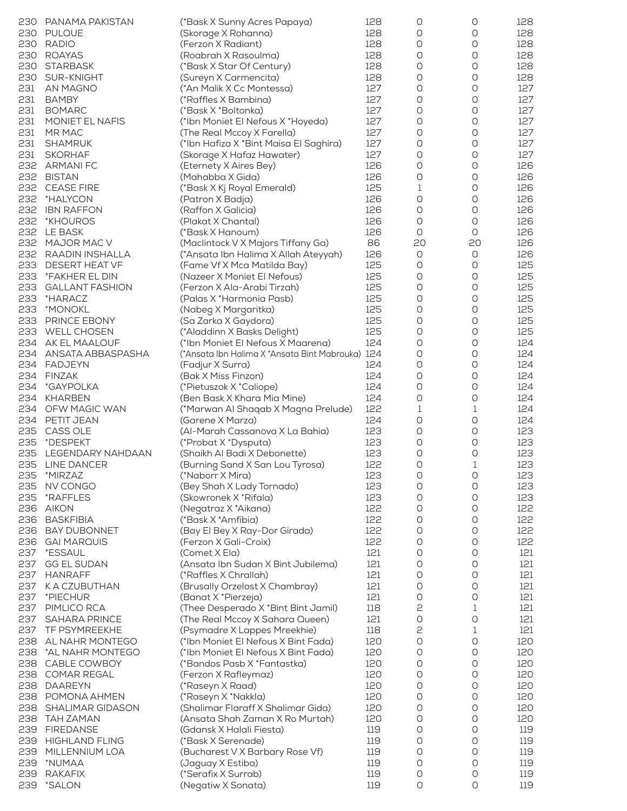| 230 | PANAMA PAKISTAN        | (*Bask X Sunny Acres Papaya)                     | 128 | 0                   | 0                   | 128 |
|-----|------------------------|--------------------------------------------------|-----|---------------------|---------------------|-----|
| 230 | <b>PULQUE</b>          | (Skorage X Rohanna)                              | 128 | 0                   | 0                   | 128 |
| 230 | <b>RADIO</b>           | (Ferzon X Radiant)                               | 128 | 0                   | O                   | 128 |
| 230 | <b>ROAYAS</b>          | (Roabrah X Rasoulma)                             | 128 | 0                   | O                   | 128 |
|     |                        |                                                  |     |                     |                     |     |
| 230 | <b>STARBASK</b>        | (*Bask X Star Of Century)                        | 128 | O                   | O                   | 128 |
| 230 | SUR-KNIGHT             | (Sureyn X Carmencita)                            | 128 | O                   | 0                   | 128 |
| 231 | AN MAGNO               | (*An Malik X Cc Montessa)                        | 127 | 0                   | O                   | 127 |
| 231 | <b>BAMBY</b>           | (*Raffles X Bambina)                             | 127 | O                   | 0                   | 127 |
| 231 | <b>BOMARC</b>          | (*Bask X *Boltonka)                              | 127 | 0                   | 0                   | 127 |
| 231 | MONIET EL NAFIS        | (*Ibn Moniet El Nefous X *Hoyeda)                | 127 | 0                   | O                   | 127 |
| 231 | MR MAC                 | (The Real Mccoy X Farella)                       | 127 | 0                   | 0                   | 127 |
|     |                        |                                                  |     |                     |                     |     |
| 231 | SHAMRUK                | (*Ibn Hafiza X *Bint Maisa El Saghira)           | 127 | 0                   | 0                   | 127 |
| 231 | <b>SKORHAF</b>         | (Skorage X Hafaz Hawater)                        | 127 | O                   | O                   | 127 |
| 232 | <b>ARMANIFC</b>        | (Eternety X Aires Bey)                           | 126 | 0                   | $\circlearrowright$ | 126 |
| 232 | <b>BISTAN</b>          | (Mahabba X Gida)                                 | 126 | O                   | O                   | 126 |
| 232 | <b>CEASE FIRE</b>      | (*Bask X Kj Royal Emerald)                       | 125 | 1                   | 0                   | 126 |
| 232 | *HALYCON               | (Patron X Badja)                                 | 126 | 0                   | O                   | 126 |
| 232 | <b>IBN RAFFON</b>      | (Raffon X Galicia)                               | 126 | 0                   | 0                   | 126 |
|     |                        |                                                  |     |                     |                     |     |
| 232 | *KHOUROS               | (Plakat X Chantal)                               | 126 | O                   | O                   | 126 |
| 232 | LE BASK                | (*Bask X Hanoum)                                 | 126 | 0                   | O                   | 126 |
| 232 | MAJOR MAC V            | (Maclintock V X Majors Tiffany Ga)               | 86  | 20                  | 20                  | 126 |
| 232 | RAADIN INSHALLA        | (*Ansata Ibn Halima X Allah Ateyyah)             | 126 | O                   | O                   | 126 |
| 233 | DESERT HEAT VF         | (Fame Vf X Mca Matilda Bay)                      | 125 | 0                   | 0                   | 125 |
| 233 | *FAKHER EL DIN         |                                                  | 125 | 0                   | O                   | 125 |
|     |                        | (Nazeer X Moniet El Nefous)                      |     |                     |                     |     |
| 233 | <b>GALLANT FASHION</b> | (Ferzon X Ala-Arabi Tirzah)                      | 125 | O                   | 0                   | 125 |
| 233 | *HARACZ                | (Palas X *Harmonia Pasb)                         | 125 | 0                   | 0                   | 125 |
| 233 | *MONOKL                | (Nabeg X Margaritka)                             | 125 | O                   | O                   | 125 |
| 233 | PRINCE EBONY           | (Sa Zarka X Gaydora)                             | 125 | 0                   | O                   | 125 |
| 233 | <b>WELL CHOSEN</b>     | (*Aladdinn X Basks Delight)                      | 125 | 0                   | O                   | 125 |
| 234 | AK EL MAALOUF          | (*Ibn Moniet El Nefous X Maarena)                | 124 | 0                   | O                   | 124 |
|     |                        |                                                  |     |                     |                     |     |
| 234 | ANSATA ABBASPASHA      | (*Ansata Ibn Halima X *Ansata Bint Mabrouka) 124 |     | 0                   | 0                   | 124 |
| 234 | <b>FADJEYN</b>         | (Fadjur X Surra)                                 | 124 | $\circlearrowright$ | $\circlearrowright$ | 124 |
| 234 | <b>FINZAK</b>          | (Bak X Miss Finzon)                              | 124 | O                   | O                   | 124 |
| 234 | *GAYPOLKA              | (*Pietuszok X *Caliope)                          | 124 | $\circlearrowright$ | $\circlearrowright$ | 124 |
| 234 | <b>KHARBEN</b>         | (Ben Bask X Khara Mia Mine)                      | 124 | O                   | O                   | 124 |
| 234 | OFW MAGIC WAN          | (*Marwan Al Shaqab X Magna Prelude)              | 122 | 1                   | 1                   | 124 |
|     |                        |                                                  |     |                     |                     |     |
| 234 | PETIT JEAN             | (Garene X Marza)                                 | 124 | $\circlearrowright$ | $\circlearrowright$ | 124 |
| 235 | <b>CASS OLE</b>        | (Al-Marah Cassanova X La Bahia)                  | 123 | O                   | O                   | 123 |
| 235 | *DESPEKT               | (*Probat X *Dysputa)                             | 123 | 0                   | O                   | 123 |
| 235 | LEGENDARY NAHDAAN      | (Shaikh Al Badi X Debonette)                     | 123 | O                   | O                   | 123 |
| 235 | <b>LINE DANCER</b>     | (Burning Sand X San Lou Tyrosa)                  | 122 | 0                   | 1                   | 123 |
|     | 235 *MIRZAZ            | (*Naborr X Mira)                                 | 123 | 0                   | O                   | 123 |
| 235 | NV CONGO               | (Bey Shah X Lady Tornado)                        | 123 | 0                   | 0                   | 123 |
|     |                        |                                                  |     |                     |                     |     |
| 235 | *RAFFLES               | (Skowronek X * Rifala)                           | 123 | 0                   | O                   | 123 |
| 236 | <b>AIKON</b>           | (Negatraz X *Aikana)                             | 122 | 0                   | O                   | 122 |
| 236 | <b>BASKFIBIA</b>       | (*Bask X *Amfibia)                               | 122 | 0                   | O                   | 122 |
| 236 | <b>BAY DUBONNET</b>    | (Bay El Bey X Ray-Dor Girada)                    | 122 | O                   | O                   | 122 |
| 236 | <b>GAI MARQUIS</b>     | (Ferzon X Gali-Croix)                            | 122 | O                   | O                   | 122 |
| 237 | *ESSAUL                | (Comet X Ela)                                    | 121 | 0                   | O                   | 121 |
|     | <b>GG EL SUDAN</b>     |                                                  | 121 | O                   | O                   |     |
| 237 |                        | (Ansata Ibn Sudan X Bint Jubilema)               |     |                     |                     | 121 |
| 237 | <b>HANRAFF</b>         | (*Raffles X Chrallah)                            | 121 | 0                   | 0                   | 121 |
| 237 | K A CZUBUTHAN          | (Brusally Orzelost X Chambray)                   | 121 | $\circlearrowright$ | $\circlearrowright$ | 121 |
| 237 | *PIECHUR               | (Banat X *Pierzeja)                              | 121 | 0                   | O                   | 121 |
| 237 | PIMLICO RCA            | (Thee Desperado X *Bint Bint Jamil)              | 118 | 2                   | 1                   | 121 |
| 237 | <b>SAHARA PRINCE</b>   | (The Real Mccoy X Sahara Queen)                  | 121 | $\circlearrowright$ | $\circlearrowright$ | 121 |
| 237 | TF PSYMREEKHE          |                                                  | 118 | 2                   | 1                   | 121 |
|     |                        | (Psymadre X Lappes Mreekhie)                     |     |                     |                     |     |
| 238 | AL NAHR MONTEGO        | (*Ibn Moniet El Nefous X Bint Fada)              | 120 | $\circlearrowright$ | $\circlearrowright$ | 120 |
| 238 | *AL NAHR MONTEGO       | (*Ibn Moniet El Nefous X Bint Fada)              | 120 | O                   | O                   | 120 |
| 238 | CABLE COWBOY           | (*Bandos Pasb X *Fantastka)                      | 120 | O                   | O                   | 120 |
| 238 | <b>COMAR REGAL</b>     | (Ferzon X Rafleymaz)                             | 120 | O                   | O                   | 120 |
| 238 | <b>DAAREYN</b>         | (*Raseyn X Raad)                                 | 120 | 0                   | O                   | 120 |
| 238 | POMONA AHMEN           | (*Raseyn X *Nakkla)                              | 120 | $\circlearrowright$ | 0                   | 120 |
|     |                        |                                                  |     |                     |                     |     |
| 238 | SHALIMAR GIDASON       | (Shalimar Flaraff X Shalimar Gida)               | 120 | 0                   | O                   | 120 |
| 238 | <b>TAH ZAMAN</b>       | (Ansata Shah Zaman X Ro Murtah)                  | 120 | 0                   | O                   | 120 |
| 239 | <b>FIREDANSE</b>       | (Gdansk X Halali Fiesta)                         | 119 | O                   | O                   | 119 |
| 239 | <b>HIGHLAND FLING</b>  | (*Bask X Serenade)                               | 119 | 0                   | 0                   | 119 |
| 239 | MILLENNIUM LOA         | (Bucharest V X Barbary Rose Vf)                  | 119 | O                   | O                   | 119 |
| 239 | *NUMAA                 | (Jaguay X Estiba)                                | 119 | O                   | O                   | 119 |
| 239 | <b>RAKAFIX</b>         | (*Serafix X Surrab)                              | 119 | 0                   | 0                   | 119 |
|     |                        |                                                  |     |                     |                     |     |
| 239 | *SALON                 | (Negatiw X Sonata)                               | 119 | O                   | O                   | 119 |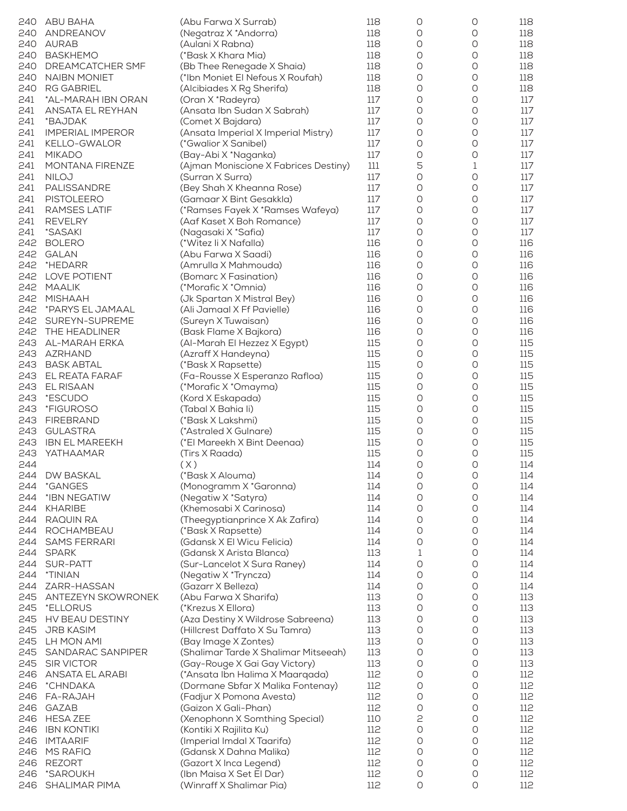| 240 | ABU BAHA                | (Abu Farwa X Surrab)                  | 118 | 0          | 0           | 118 |
|-----|-------------------------|---------------------------------------|-----|------------|-------------|-----|
| 240 | ANDREANOV               | (Negatraz X *Andorra)                 | 118 | 0          | 0           | 118 |
| 240 | <b>AURAB</b>            | (Aulani X Rabna)                      | 118 | 0          | 0           | 118 |
| 240 | <b>BASKHEMO</b>         | (*Bask X Khara Mia)                   | 118 | 0          | 0           | 118 |
|     |                         |                                       |     |            |             |     |
| 240 | DREAMCATCHER SMF        | (Bb Thee Renegade X Shaia)            | 118 | 0          | 0           | 118 |
| 240 | <b>NAIBN MONIET</b>     | (*Ibn Moniet El Nefous X Roufah)      | 118 | 0          | 0           | 118 |
| 240 | <b>RG GABRIEL</b>       | (Alcibiades X Rg Sherifa)             | 118 | 0          | 0           | 118 |
| 241 | *AL-MARAH IBN ORAN      | (Oran X *Radeyra)                     | 117 | O          | 0           | 117 |
| 241 | ANSATA EL REYHAN        | (Ansata Ibn Sudan X Sabrah)           | 117 | 0          | 0           | 117 |
| 241 | *BAJDAK                 | (Comet X Bajdara)                     | 117 | 0          | 0           | 117 |
| 241 | <b>IMPERIAL IMPEROR</b> | (Ansata Imperial X Imperial Mistry)   | 117 | 0          | 0           | 117 |
| 241 | KELLO-GWALOR            | (*Gwalior X Sanibel)                  | 117 | 0          | 0           | 117 |
| 241 | <b>MIKADO</b>           | (Bay-Abi X *Naganka)                  | 117 | 0          | 0           | 117 |
|     |                         |                                       |     |            |             |     |
| 241 | MONTANA FIRENZE         | (Ajman Moniscione X Fabrices Destiny) | 111 | 5          | 1           | 117 |
| 241 | <b>NILOJ</b>            | (Surran X Surra)                      | 117 | 0          | 0           | 117 |
| 241 | PALISSANDRE             | (Bey Shah X Kheanna Rose)             | 117 | 0          | 0           | 117 |
| 241 | <b>PISTOLEERO</b>       | (Gamaar X Bint Gesakkla)              | 117 | 0          | 0           | 117 |
| 241 | RAMSES LATIF            | (*Ramses Fayek X *Ramses Wafeya)      | 117 | 0          | 0           | 117 |
| 241 | <b>REVELRY</b>          | (Aaf Kaset X Boh Romance)             | 117 | 0          | 0           | 117 |
| 241 | <i>*SASAKI</i>          | (Nagasaki X *Safia)                   | 117 | 0          | 0           | 117 |
| 242 | <b>BOLERO</b>           | (*Witez li X Nafalla)                 | 116 | 0          | 0           | 116 |
| 242 | <b>GALAN</b>            |                                       | 116 | 0          | 0           | 116 |
|     |                         | (Abu Farwa X Saadi)                   |     |            |             |     |
| 242 | *HEDARR                 | (Amrulla X Mahmouda)                  | 116 | 0          | 0           | 116 |
| 242 | LOVE POTIENT            | (Bomarc X Fasination)                 | 116 | 0          | 0           | 116 |
| 242 | <b>MAALIK</b>           | (*Morafic X *Omnia)                   | 116 | 0          | 0           | 116 |
| 242 | <b>MISHAAH</b>          | (Jk Spartan X Mistral Bey)            | 116 | 0          | 0           | 116 |
| 242 | *PARYS EL JAMAAL        | (Ali Jamaal X Ff Pavielle)            | 116 | 0          | 0           | 116 |
| 242 | SUREYN-SUPREME          | (Sureyn X Tuwaisan)                   | 116 | 0          | 0           | 116 |
| 242 | THE HEADLINER           | (Bask Flame X Bajkora)                | 116 | 0          | 0           | 116 |
| 243 | AL-MARAH ERKA           | (Al-Marah El Hezzez X Egypt)          | 115 | 0          | 0           | 115 |
|     |                         |                                       |     |            |             |     |
| 243 | AZRHAND                 | (Azraff X Handeyna)                   | 115 | 0          | 0           | 115 |
| 243 | <b>BASK ABTAL</b>       | (*Bask X Rapsette)                    | 115 | 0          | 0           | 115 |
| 243 | EL REATA FARAF          | (Fa-Rousse X Esperanzo Rafloa)        | 115 | 0          | 0           | 115 |
| 243 | <b>EL RISAAN</b>        | (*Morafic X *Omayma)                  | 115 | 0          | 0           | 115 |
| 243 | *ESCUDO                 | (Kord X Eskapada)                     | 115 | 0          | 0           | 115 |
| 243 | *FIGUROSO               | (Tabal X Bahia li)                    | 115 | 0          | $\bigcirc$  | 115 |
| 243 | <b>FIREBRAND</b>        | (*Bask X Lakshmi)                     | 115 | 0          | 0           | 115 |
| 243 | <b>GULASTRA</b>         | (*Astraled X Gulnare)                 | 115 | 0          | 0           | 115 |
|     | <b>IBN EL MAREEKH</b>   |                                       | 115 | 0          | 0           |     |
| 243 |                         | (*El Mareekh X Bint Deenaa)           |     |            |             | 115 |
| 243 | YATHAAMAR               | (Tirs X Raada)                        | 115 | 0          | 0           | 115 |
| 244 |                         | (X)                                   | 114 | 0          | 0           | 114 |
|     | 244 DW BASKAL           | (*Bask X Alouma)                      | 114 | $\bigcirc$ | $\bigcirc$  | 114 |
| 244 | *GANGES                 | (Monogramm X *Garonna)                | 114 | 0          | 0           | 114 |
| 244 | *IBN NEGATIW            | (Negatiw X *Satyra)                   | 114 | 0          | 0           | 114 |
| 244 | KHARIBE                 | (Khemosabi X Carinosa)                | 114 | O          | 0           | 114 |
| 244 | RAQUIN RA               | (Theegyptianprince X Ak Zafira)       | 114 | 0          | 0           | 114 |
|     |                         |                                       |     |            |             |     |
| 244 | ROCHAMBEAU              | (*Bask X Rapsette)                    | 114 | 0          | 0           | 114 |
| 244 | <b>SAMS FERRARI</b>     | (Gdansk X El Wicu Felicia)            | 114 | 0          | 0           | 114 |
| 244 | <b>SPARK</b>            | (Gdansk X Arista Blanca)              | 113 | 1          | 0           | 114 |
| 244 | SUR-PATT                | (Sur-Lancelot X Sura Raney)           | 114 | 0          | 0           | 114 |
| 244 | *TINIAN                 | (Negatiw X *Tryncza)                  | 114 | 0          | $\mathsf O$ | 114 |
| 244 | ZARR-HASSAN             | (Gazarr X Belleza)                    | 114 | 0          | 0           | 114 |
| 245 | ANTEZEYN SKOWRONEK      | (Abu Farwa X Sharifa)                 | 113 | 0          | 0           | 113 |
| 245 | *ELLORUS                | (*Krezus X Ellora)                    | 113 | 0          | 0           | 113 |
|     |                         |                                       |     |            |             |     |
| 245 | HV BEAU DESTINY         | (Aza Destiny X Wildrose Sabreena)     | 113 | 0          | 0           | 113 |
| 245 | <b>JRB KASIM</b>        | (Hillcrest Daffato X Su Tamra)        | 113 | 0          | O           | 113 |
| 245 | LH MON AMI              | (Bay Image X Zontes)                  | 113 | 0          | 0           | 113 |
| 245 | SANDARAC SANPIPER       | (Shalimar Tarde X Shalimar Mitseeah)  | 113 | 0          | 0           | 113 |
| 245 | <b>SIR VICTOR</b>       | (Gay-Rouge X Gai Gay Victory)         | 113 | 0          | 0           | 113 |
| 246 | ANSATA EL ARABI         | (*Ansata Ibn Halima X Maarqada)       | 112 | 0          | 0           | 112 |
| 246 | *CHNDAKA                | (Dormane Sbfar X Malika Fontenay)     | 112 | O          | O           | 112 |
| 246 | FA-RAJAH                | (Fadjur X Pomona Avesta)              | 112 | 0          | 0           | 112 |
|     |                         |                                       |     | 0          | 0           |     |
| 246 | <b>GAZAB</b>            | (Gaizon X Gali-Phan)                  | 112 |            |             | 112 |
| 246 | <b>HESA ZEE</b>         | (Xenophonn X Somthing Special)        | 110 | 2          | 0           | 112 |
| 246 | <b>IBN KONTIKI</b>      | (Kontiki X Rajilita Ku)               | 112 | 0          | 0           | 112 |
| 246 | <b>IMTAARIF</b>         | (Imperial Imdal X Taarifa)            | 112 | O          | O           | 112 |
| 246 | <b>MS RAFIQ</b>         | (Gdansk X Dahna Malika)               | 112 | 0          | 0           | 112 |
| 246 | <b>REZORT</b>           | (Gazort X Inca Legend)                | 112 | 0          | 0           | 112 |
| 246 | *SAROUKH                | (Ibn Maisa X Set El Dar)              | 112 | 0          | 0           | 112 |
| 246 | SHALIMAR PIMA           | (Winraff X Shalimar Pia)              | 112 | 0          | 0           | 112 |
|     |                         |                                       |     |            |             |     |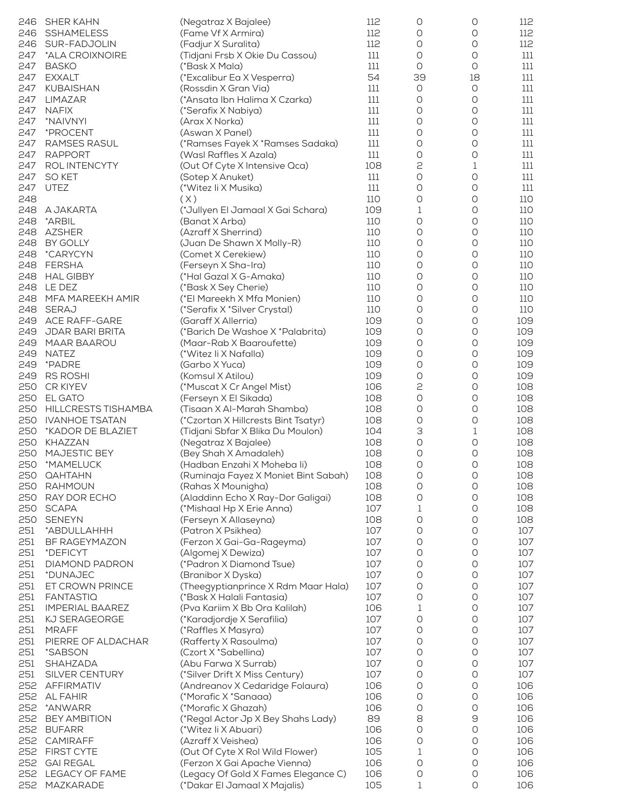| 246 | <b>SHER KAHN</b>       | (Negatraz X Bajalee)                 | 112 | 0                   | 0                   | 112 |
|-----|------------------------|--------------------------------------|-----|---------------------|---------------------|-----|
| 246 | <b>SSHAMELESS</b>      | (Fame Vf X Armira)                   | 112 | 0                   | 0                   | 112 |
| 246 | SUR-FADJOLIN           | (Fadjur X Suralita)                  | 112 | O                   | 0                   | 112 |
| 247 | *ALA CROIXNOIRE        | (Tidjani Frsb X Okie Du Cassou)      | 111 | O                   | O                   | 111 |
| 247 | <b>BASKO</b>           | (*Bask X Mala)                       | 111 | 0                   | $\circlearrowright$ | 111 |
| 247 | <b>EXXALT</b>          | (*Excalibur Ea X Vesperra)           | 54  | 39                  | 18                  | 111 |
| 247 | <b>KUBAISHAN</b>       | (Rossdin X Gran Via)                 | 111 | 0                   | $\bigcirc$          | 111 |
| 247 | LIMAZAR                | (*Ansata Ibn Halima X Czarka)        | 111 | $\circlearrowright$ | $\circlearrowright$ | 111 |
| 247 | <b>NAFIX</b>           | (*Serafix X Nabiya)                  | 111 | O                   | O                   | 111 |
| 247 | *NAIVNYI               | (Arax X Norka)                       | 111 | 0                   | 0                   | 111 |
| 247 | *PROCENT               | (Aswan X Panel)                      | 111 | O                   | O                   | 111 |
| 247 | <b>RAMSES RASUL</b>    | (*Ramses Fayek X *Ramses Sadaka)     | 111 | 0                   | 0                   | 111 |
| 247 | <b>RAPPORT</b>         | (Wasl Raffles X Azala)               | 111 | 0                   | 0                   | 111 |
| 247 | ROL INTENCYTY          | (Out Of Cyte X Intensive Qca)        | 108 | 2                   | 1                   | 111 |
| 247 | <b>SO KET</b>          | (Sotep X Anuket)                     | 111 | $\circlearrowright$ | $\circlearrowright$ | 111 |
| 247 | <b>UTEZ</b>            | (*Witez li X Musika)                 | 111 | $\circlearrowright$ | O                   | 111 |
| 248 |                        | (X)                                  | 110 | $\bigcirc$          | $\bigcirc$          | 110 |
| 248 | A JAKARTA              | (*Jullyen El Jamaal X Gai Schara)    | 109 | 1                   | $\bigcirc$          | 110 |
| 248 | *ARBIL                 | (Banat X Arba)                       | 110 | $\circlearrowright$ | O                   | 110 |
| 248 | <b>AZSHER</b>          | (Azraff X Sherrind)                  | 110 | O                   | O                   | 110 |
| 248 | BY GOLLY               | (Juan De Shawn X Molly-R)            | 110 | 0                   | O                   | 110 |
| 248 | *CARYCYN               | (Comet X Cerekiew)                   | 110 | 0                   | 0                   | 110 |
| 248 | <b>FERSHA</b>          | (Ferseyn X Sha-Ira)                  | 110 | $\circlearrowright$ | $\bigcirc$          | 110 |
| 248 | <b>HAL GIBBY</b>       | (*Hal Gazal X G-Amaka)               | 110 | O                   | $\circlearrowright$ | 110 |
| 248 | LE DEZ                 | (*Bask X Sey Cherie)                 | 110 | O                   | $\circlearrowright$ | 110 |
| 248 | MFA MAREEKH AMIR       | (*El Mareekh X Mfa Monien)           | 110 | O                   | O                   | 110 |
| 248 | <b>SERAJ</b>           | (*Serafix X *Silver Crystal)         | 110 | 0                   | 0                   | 110 |
| 249 | ACE RAFF-GARE          | (Garaff X Allerria)                  | 109 | $\circlearrowright$ | $\bigcirc$          | 109 |
| 249 | JDAR BARI BRITA        | (*Barich De Washoe X *Palabrita)     | 109 | O                   | O                   | 109 |
| 249 | <b>MAAR BAAROU</b>     | (Maar-Rab X Baaroufette)             | 109 | O                   | O                   | 109 |
| 249 | <b>NATEZ</b>           | (*Witez li X Nafalla)                | 109 | 0                   | O                   | 109 |
| 249 | *PADRE                 | (Garbo X Yuca)                       | 109 | 0                   | 0                   | 109 |
| 249 | <b>RS ROSHI</b>        | (Komsul X Atilou)                    | 109 | $\bigcirc$          | $\bigcirc$          | 109 |
| 250 | CR KIYEV               | (*Muscat X Cr Angel Mist)            | 106 | 2                   | O                   | 108 |
| 250 | <b>EL GATO</b>         | (Ferseyn X El Sikada)                | 108 | $\circlearrowright$ | $\bigcirc$          | 108 |
| 250 | HILLCRESTS TISHAMBA    | (Tisaan X Al-Marah Shamba)           | 108 | O                   | O                   | 108 |
| 250 | <b>IVANHOE TSATAN</b>  | (*Czortan X Hillcrests Bint Tsatyr)  | 108 | 0                   | 0                   | 108 |
| 250 | *KADOR DE BLAZIET      | (Tidjani Sbfar X Blika Du Moulon)    | 104 | 3                   | 1                   | 108 |
| 250 | KHAZZAN                | (Negatraz X Bajalee)                 | 108 | O                   | O                   | 108 |
| 250 | MAJESTIC BEY           | (Bey Shah X Amadaleh)                | 108 | O                   | O                   | 108 |
| 250 | *MAMELUCK              | (Hadban Enzahi X Moheba li)          | 108 | O                   | O                   | 108 |
| 250 | <b>QAHTAHN</b>         | (Ruminaja Fayez X Moniet Bint Sabah) | 108 | $\bigcirc$          | $\bigcirc$          | 108 |
| 250 | <b>RAHMOUN</b>         | (Rahas X Mounigha)                   | 108 | 0                   | $\bigcirc$          | 108 |
| 250 | RAY DOR ECHO           | (Aladdinn Echo X Ray-Dor Galigai)    | 108 | O                   | O                   | 108 |
| 250 | <b>SCAPA</b>           | (*Mishaal Hp X Erie Anna)            | 107 | 1                   | 0                   | 108 |
| 250 | <b>SENEYN</b>          | (Ferseyn X Allaseyna)                | 108 | 0                   | O                   | 108 |
| 251 | *ABDULLAHHH            | (Patron X Psikhea)                   | 107 | 0                   | 0                   | 107 |
| 251 | BF RAGEYMAZON          | (Ferzon X Gai-Ga-Rageyma)            | 107 | 0                   | 0                   | 107 |
| 251 | *DEFICYT               | (Algomej X Dewiza)                   | 107 | 0                   | O                   | 107 |
| 251 | DIAMOND PADRON         | (*Padron X Diamond Tsue)             | 107 | 0                   | $\bigcirc$          | 107 |
| 251 | *DUNAJEC               | (Branibor X Dyska)                   | 107 | 0                   | O                   | 107 |
| 251 | ET CROWN PRINCE        | (Theegyptianprince X Rdm Maar Hala)  | 107 | 0                   | 0                   | 107 |
| 251 | <b>FANTASTIQ</b>       | (*Bask X Halali Fantasia)            | 107 | 0                   | 0                   | 107 |
| 251 | <b>IMPERIAL BAAREZ</b> | (Pva Kariim X Bb Ora Kalilah)        | 106 | 1                   | O                   | 107 |
| 251 | KJ SERAGEORGE          | (*Karadjordje X Serafilia)           | 107 | 0                   | 0                   | 107 |
| 251 | <b>MRAFF</b>           | (*Raffles X Masyra)                  | 107 | 0                   | 0                   | 107 |
| 251 | PIERRE OF ALDACHAR     | (Rafferty X Rasoulma)                | 107 | O                   | 0                   | 107 |
| 251 | *SABSON                | (Czort X *Sabellina)                 | 107 | 0                   | 0                   | 107 |
| 251 | <b>SHAHZADA</b>        | (Abu Farwa X Surrab)                 | 107 | 0                   | O                   | 107 |
| 251 | SILVER CENTURY         | (*Silver Drift X Miss Century)       | 107 | 0                   | $\bigcirc$          | 107 |
| 252 | <b>AFFIRMATIV</b>      | (Andreanov X Cedaridge Folaura)      | 106 | 0                   | O                   | 106 |
| 252 | <b>AL FAHIR</b>        | (*Morafic X *Sanaaa)                 | 106 | 0                   | O                   | 106 |
| 252 | *ANWARR                | (*Morafic X Ghazah)                  | 106 | 0                   | 0                   | 106 |
| 252 | <b>BEY AMBITION</b>    | (*Regal Actor Jp X Bey Shahs Lady)   | 89  | 8                   | $\Theta$            | 106 |
| 252 | <b>BUFARR</b>          | (*Witez li X Abuari)                 | 106 | 0                   | 0                   | 106 |
| 252 | CAMIRAFF               | (Azraff X Veishea)                   | 106 | 0                   | 0                   | 106 |
| 252 | <b>FIRST CYTE</b>      | (Out Of Cyte X Rol Wild Flower)      | 105 | 1                   | 0                   | 106 |
| 252 | <b>GAI REGAL</b>       | (Ferzon X Gai Apache Vienna)         | 106 | 0                   | 0                   | 106 |
| 252 | LEGACY OF FAME         | (Legacy Of Gold X Fames Elegance C)  | 106 | 0                   | 0                   | 106 |
| 252 | MAZKARADE              | (*Dakar El Jamaal X Majalis)         | 105 | 1                   | 0                   | 106 |
|     |                        |                                      |     |                     |                     |     |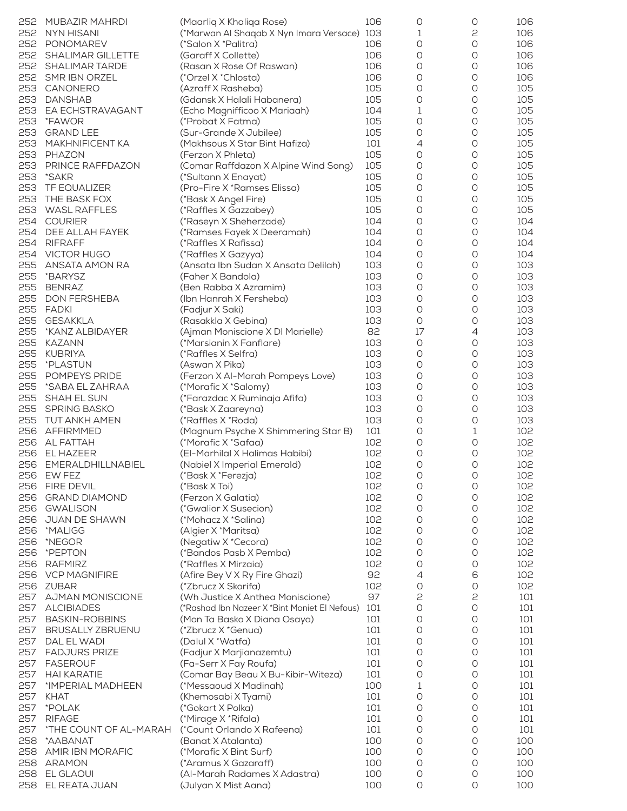| 252 | MUBAZIR MAHRDI           | (Maarliq X Khaliqa Rose)                      | 106 | 0                   | 0                   | 106 |
|-----|--------------------------|-----------------------------------------------|-----|---------------------|---------------------|-----|
|     |                          |                                               |     |                     |                     |     |
| 252 | <b>NYN HISANI</b>        | (*Marwan Al Shaqab X Nyn Imara Versace) 103   |     | 1                   | 2                   | 106 |
| 252 | PONOMAREV                | (*Salon X *Palitra)                           | 106 | 0                   | $\circlearrowright$ | 106 |
| 252 | <b>SHALIMAR GILLETTE</b> | (Garaff X Collette)                           | 106 | O                   | O                   | 106 |
| 252 | <b>SHALIMAR TARDE</b>    | (Rasan X Rose Of Raswan)                      | 106 | O                   | O                   | 106 |
| 252 | SMR IBN ORZEL            | (*Orzel X *Chlosta)                           | 106 | O                   | O                   | 106 |
| 253 |                          |                                               | 105 | O                   |                     | 105 |
|     | CANONERO                 | (Azraff X Rasheba)                            |     |                     | 0                   |     |
| 253 | <b>DANSHAB</b>           | (Gdansk X Halali Habanera)                    | 105 | 0                   | $\bigcirc$          | 105 |
| 253 | EA ECHSTRAVAGANT         | (Echo Magnifficoo X Mariaah)                  | 104 | 1                   | O                   | 105 |
| 253 | *FAWOR                   | (*Probat X Fatma)                             | 105 | 0                   | O                   | 105 |
| 253 | <b>GRAND LEE</b>         | (Sur-Grande X Jubilee)                        | 105 | O                   | O                   | 105 |
|     |                          |                                               |     |                     |                     |     |
| 253 | <b>MAKHNIFICENT KA</b>   | (Makhsous X Star Bint Hafiza)                 | 101 | 4                   | 0                   | 105 |
| 253 | PHAZON                   | (Ferzon X Phleta)                             | 105 | 0                   | $\bigcirc$          | 105 |
| 253 | PRINCE RAFFDAZON         | (Comar Raffdazon X Alpine Wind Song)          | 105 | $\circlearrowright$ | O                   | 105 |
| 253 | *SAKR                    | (*Sultann X Enayat)                           | 105 | O                   | O                   | 105 |
| 253 | <b>TF EQUALIZER</b>      | (Pro-Fire X *Ramses Elissa)                   | 105 | O                   | O                   | 105 |
|     |                          |                                               |     |                     |                     |     |
| 253 | THE BASK FOX             | (*Bask X Angel Fire)                          | 105 | O                   | 0                   | 105 |
| 253 | <b>WASL RAFFLES</b>      | (*Raffles X Gazzabey)                         | 105 | $\bigcirc$          | $\bigcirc$          | 105 |
| 254 | <b>COURIER</b>           | (*Raseyn X Sheherzade)                        | 104 | O                   | O                   | 104 |
| 254 | DEE ALLAH FAYEK          | (*Ramses Fayek X Deeramah)                    | 104 | O                   | O                   | 104 |
| 254 | <b>RIFRAFF</b>           | (*Raffles X Rafissa)                          | 104 | O                   | O                   | 104 |
|     |                          |                                               |     |                     |                     |     |
| 254 | <b>VICTOR HUGO</b>       | (*Raffles X Gazyya)                           | 104 | 0                   | 0                   | 104 |
| 255 | ANSATA AMON RA           | (Ansata Ibn Sudan X Ansata Delilah)           | 103 | 0                   | 0                   | 103 |
| 255 | *BARYSZ                  | (Faher X Bandola)                             | 103 | O                   | O                   | 103 |
| 255 | <b>BENRAZ</b>            | (Ben Rabba X Azramim)                         | 103 | O                   | O                   | 103 |
| 255 |                          |                                               | 103 | O                   | O                   |     |
|     | <b>DON FERSHEBA</b>      | (Ibn Hanrah X Fersheba)                       |     |                     |                     | 103 |
| 255 | <b>FADKI</b>             | (Fadjur X Saki)                               | 103 | O                   | 0                   | 103 |
| 255 | <b>GESAKKLA</b>          | (Rasakkla X Gebina)                           | 103 | $\circlearrowright$ | 0                   | 103 |
| 255 | *KANZ ALBIDAYER          | (Ajman Moniscione X DI Marielle)              | 82  | 17                  | $\overline{4}$      | 103 |
| 255 | <b>KAZANN</b>            | (*Marsianin X Fanflare)                       | 103 | O                   | O                   | 103 |
|     |                          |                                               |     |                     |                     |     |
| 255 | <b>KUBRIYA</b>           | (*Raffles X Selfra)                           | 103 | O                   | O                   | 103 |
| 255 | *PLASTUN                 | (Aswan X Pika)                                | 103 | O                   | 0                   | 103 |
| 255 | POMPEYS PRIDE            | (Ferzon X Al-Marah Pompeys Love)              | 103 | 0                   | 0                   | 103 |
| 255 | *SABA EL ZAHRAA          | (*Morafic X *Salomy)                          | 103 | O                   | O                   | 103 |
| 255 | SHAH EL SUN              | (*Farazdac X Ruminaja Afifa)                  | 103 | O                   | O                   | 103 |
|     |                          |                                               |     |                     |                     |     |
| 255 | <b>SPRING BASKO</b>      | (*Bask X Zaareyna)                            | 103 | O                   | $\circlearrowright$ | 103 |
| 255 | TUT ANKH AMEN            | (*Raffles X *Roda)                            | 103 | O                   | 0                   | 103 |
| 256 | AFFIRMMED                | (Magnum Psyche X Shimmering Star B)           | 101 | 0                   | $\mathbf 1$         | 102 |
| 256 | AL FATTAH                | (*Morafic X *Safaa)                           | 102 | O                   | O                   | 102 |
| 256 | EL HAZEER                | (El-Marhilal X Halimas Habibi)                | 102 | O                   | O                   | 102 |
|     |                          |                                               |     |                     |                     |     |
|     | 256 EMERALDHILLNABIEL    | (Nabiel X Imperial Emerald)                   | 102 | O                   | O                   | 102 |
| 256 | EW FEZ                   | (*Bask X *Ferezja)                            | 102 | $\bigcirc$          | $\bigcirc$          | 102 |
| 256 | <b>FIRE DEVIL</b>        | (*Bask X Toi)                                 | 102 | $\bigcirc$          | $\bigcirc$          | 102 |
| 256 | <b>GRAND DIAMOND</b>     | (Ferzon X Galatia)                            | 102 | O                   | O                   | 102 |
| 256 | <b>GWALISON</b>          | (*Gwalior X Susecion)                         | 102 | O                   | O                   | 102 |
|     |                          |                                               |     |                     |                     |     |
| 256 | JUAN DE SHAWN            | (*Mohacz X *Salina)                           | 102 | 0                   | O                   | 102 |
| 256 | *MALIGG                  | (Algier X *Maritsa)                           | 102 | O                   | O                   | 102 |
| 256 | *NEGOR                   | (Negatiw X *Cecora)                           | 102 | 0                   | 0                   | 102 |
| 256 | *PEPTON                  | (*Bandos Pasb X Pemba)                        | 102 | O                   | O                   | 102 |
| 256 | <b>RAFMIRZ</b>           | (*Raffles X Mirzaia)                          | 102 | O                   | O                   | 102 |
|     |                          |                                               |     |                     |                     |     |
| 256 | <b>VCP MAGNIFIRE</b>     | (Afire Bey V X Ry Fire Ghazi)                 | 92  | 4                   | 6                   | 102 |
| 256 | ZUBAR                    | (*Zbrucz X Skorifa)                           | 102 | 0                   | $\bigcirc$          | 102 |
| 257 | <b>AJMAN MONISCIONE</b>  | (Wh Justice X Anthea Moniscione)              | 97  | 2                   | 2                   | 101 |
| 257 | <b>ALCIBIADES</b>        | (*Rashad Ibn Nazeer X *Bint Moniet El Nefous) | 101 | $\circlearrowright$ | $\circlearrowright$ | 101 |
| 257 |                          |                                               | 101 | 0                   | $\circlearrowright$ |     |
|     | <b>BASKIN-ROBBINS</b>    | (Mon Ta Basko X Diana Osaya)                  |     |                     |                     | 101 |
| 257 | <b>BRUSALLY ZBRUENU</b>  | (*Zbrucz X *Genua)                            | 101 | 0                   | $\circlearrowright$ | 101 |
| 257 | DAL EL WADI              | (Dalul X *Watfa)                              | 101 | O                   | O                   | 101 |
| 257 | <b>FADJURS PRIZE</b>     | (Fadjur X Marjianazemtu)                      | 101 | 0                   | $\bigcirc$          | 101 |
| 257 | <b>FASEROUF</b>          | (Fa-Serr X Fay Roufa)                         | 101 | 0                   | $\circlearrowright$ | 101 |
|     |                          |                                               |     |                     |                     |     |
| 257 | <b>HAI KARATIE</b>       | (Comar Bay Beau X Bu-Kibir-Witeza)            | 101 | O                   | O                   | 101 |
| 257 | *IMPERIAL MADHEEN        | (*Messaoud X Madinah)                         | 100 | 1                   | $\circlearrowright$ | 101 |
| 257 | <b>KHAT</b>              | (Khemosabi X Tyami)                           | 101 | $\bigcirc$          | 0                   | 101 |
| 257 | *POLAK                   | (*Gokart X Polka)                             | 101 | 0                   | $\bigcirc$          | 101 |
| 257 | <b>RIFAGE</b>            |                                               | 101 | O                   | $\circlearrowright$ | 101 |
|     |                          | (*Mirage X *Rifala)                           |     |                     |                     |     |
| 257 | *THE COUNT OF AL-MARAH   | (*Count Orlando X Rafeena)                    | 101 | 0                   | O                   | 101 |
| 258 | *AABANAT                 | (Banat X Atalanta)                            | 100 | 0                   | $\circlearrowright$ | 100 |
| 258 | AMIR IBN MORAFIC         | (*Morafic X Bint Surf)                        | 100 | 0                   | O                   | 100 |
| 258 | ARAMON                   | (*Aramus X Gazaraff)                          | 100 | 0                   | 0                   | 100 |
| 258 | EL GLAOUI                |                                               | 100 |                     |                     |     |
|     |                          | (Al-Marah Radames X Adastra)                  |     | 0                   | 0                   | 100 |
| 258 | EL REATA JUAN            | (Julyan X Mist Aana)                          | 100 | 0                   | 0                   | 100 |